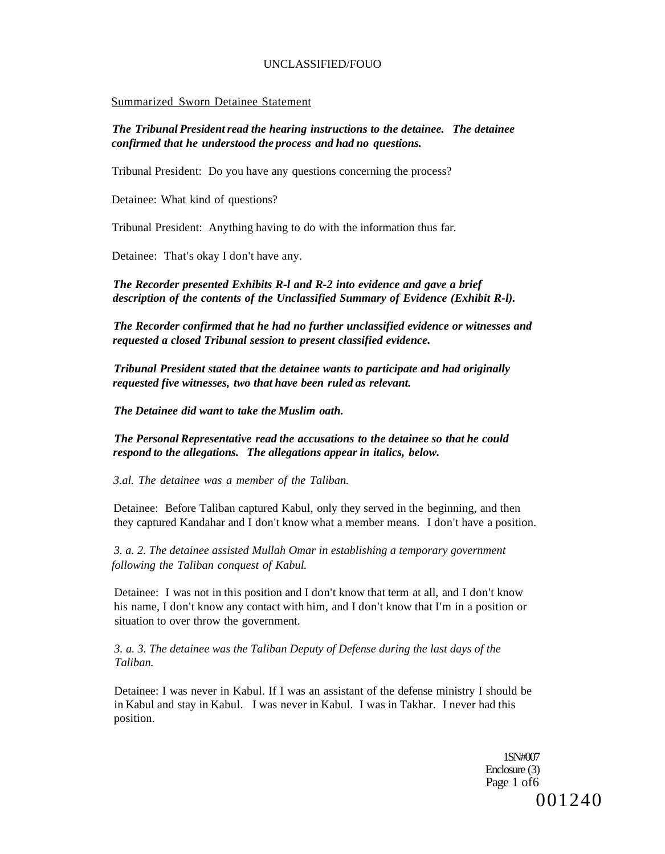#### Summarized Sworn Detainee Statement

### *The Tribunal President read the hearing instructions to the detainee. The detainee confirmed that he understood the process and had no questions.*

Tribunal President: Do you have any questions concerning the process?

Detainee: What kind of questions?

Tribunal President: Anything having to do with the information thus far.

Detainee: That's okay I don't have any.

*The Recorder presented Exhibits R-l and R-2 into evidence and gave a brief description of the contents of the Unclassified Summary of Evidence (Exhibit R-l).* 

*The Recorder confirmed that he had no further unclassified evidence or witnesses and requested a closed Tribunal session to present classified evidence.* 

*Tribunal President stated that the detainee wants to participate and had originally requested five witnesses, two that have been ruled as relevant.* 

*The Detainee did want to take the Muslim oath.* 

*The Personal Representative read the accusations to the detainee so that he could respond to the allegations. The allegations appear in italics, below.* 

*3.al. The detainee was a member of the Taliban.* 

Detainee: Before Taliban captured Kabul, only they served in the beginning, and then they captured Kandahar and I don't know what a member means. I don't have a position.

*3. a. 2. The detainee assisted Mullah Omar in establishing a temporary government following the Taliban conquest of Kabul.* 

Detainee: I was not in this position and I don't know that term at all, and I don't know his name, I don't know any contact with him, and I don't know that I'm in a position or situation to over throw the government.

*3. a. 3. The detainee was the Taliban Deputy of Defense during the last days of the Taliban.* 

Detainee: I was never in Kabul. If I was an assistant of the defense ministry I should be in Kabul and stay in Kabul. I was never in Kabul. I was in Takhar. I never had this position.

> 1SN#007 Enclosure (3) Page 1 of6 001240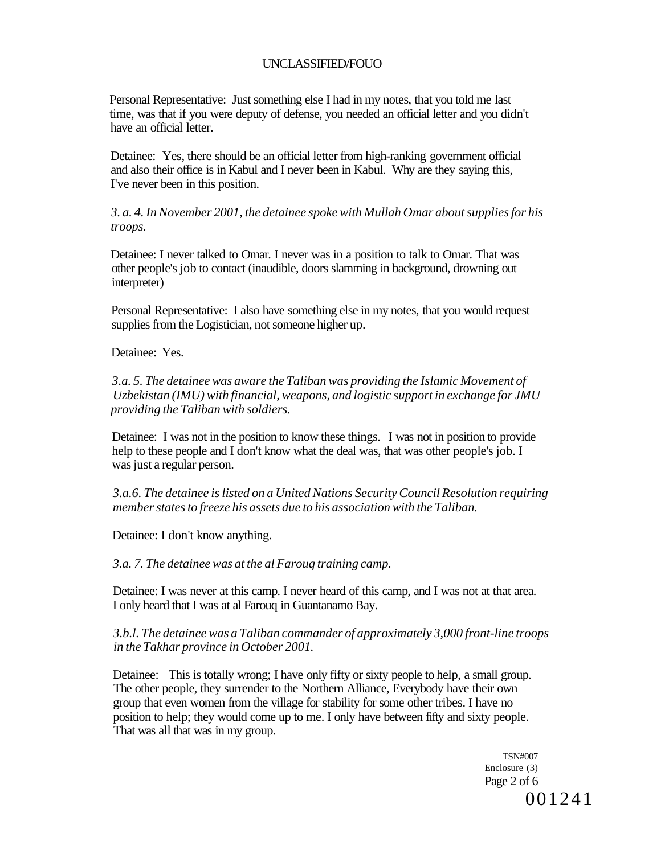Personal Representative: Just something else I had in my notes, that you told me last time, was that if you were deputy of defense, you needed an official letter and you didn't have an official letter.

Detainee: Yes, there should be an official letter from high-ranking government official and also their office is in Kabul and I never been in Kabul. Why are they saying this, I've never been in this position.

*3. a. 4. In November 2001, the detainee spoke with Mullah Omar about supplies for his troops.* 

Detainee: I never talked to Omar. I never was in a position to talk to Omar. That was other people's job to contact (inaudible, doors slamming in background, drowning out interpreter)

Personal Representative: I also have something else in my notes, that you would request supplies from the Logistician, not someone higher up.

Detainee: Yes.

*3.a. 5. The detainee was aware the Taliban was providing the Islamic Movement of Uzbekistan (IMU) with financial, weapons, and logistic support in exchange for JMU providing the Taliban with soldiers.* 

Detainee: I was not in the position to know these things. I was not in position to provide help to these people and I don't know what the deal was, that was other people's job. I was just a regular person.

*3.a.6. The detainee is listed on a United Nations Security Council Resolution requiring member states to freeze his assets due to his association with the Taliban.* 

Detainee: I don't know anything.

*3.a. 7. The detainee was at the al Farouq training camp.* 

Detainee: I was never at this camp. I never heard of this camp, and I was not at that area. I only heard that I was at al Farouq in Guantanamo Bay.

## *3.b.l. The detainee was a Taliban commander of approximately 3,000 front-line troops in the Takhar province in October 2001.*

Detainee: This is totally wrong; I have only fifty or sixty people to help, a small group. The other people, they surrender to the Northern Alliance, Everybody have their own group that even women from the village for stability for some other tribes. I have no position to help; they would come up to me. I only have between fifty and sixty people. That was all that was in my group.

> TSN#007 Enclosure (3) Page 2 of 6 001241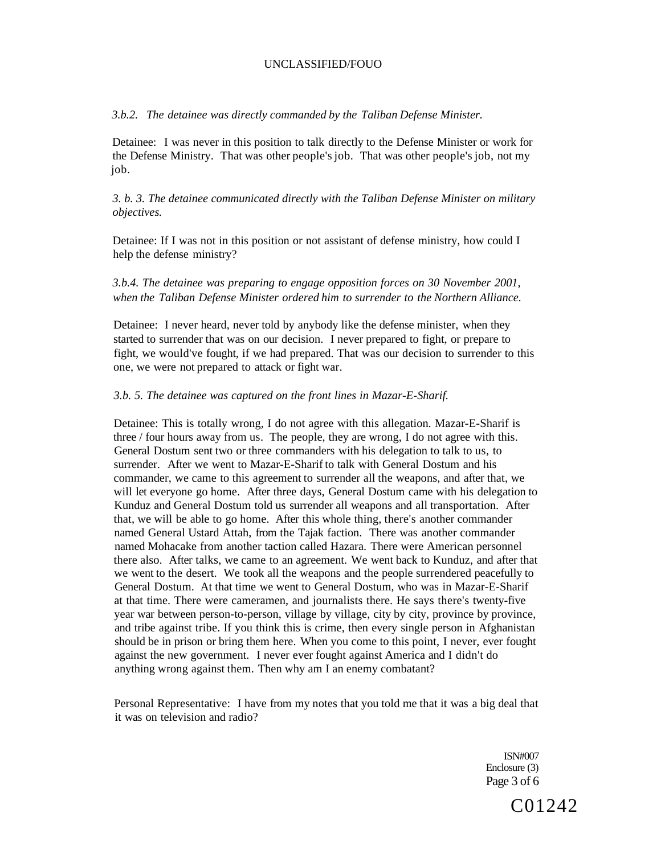*3.b.2. The detainee was directly commanded by the Taliban Defense Minister.* 

Detainee: I was never in this position to talk directly to the Defense Minister or work for the Defense Ministry. That was other people's job. That was other people's job, not my job.

*3. b. 3. The detainee communicated directly with the Taliban Defense Minister on military objectives.* 

Detainee: If I was not in this position or not assistant of defense ministry, how could I help the defense ministry?

### *3.b.4. The detainee was preparing to engage opposition forces on 30 November 2001, when the Taliban Defense Minister ordered him to surrender to the Northern Alliance.*

Detainee: I never heard, never told by anybody like the defense minister, when they started to surrender that was on our decision. I never prepared to fight, or prepare to fight, we would've fought, if we had prepared. That was our decision to surrender to this one, we were not prepared to attack or fight war.

#### *3.b. 5. The detainee was captured on the front lines in Mazar-E-Sharif.*

Detainee: This is totally wrong, I do not agree with this allegation. Mazar-E-Sharif is three / four hours away from us. The people, they are wrong, I do not agree with this. General Dostum sent two or three commanders with his delegation to talk to us, to surrender. After we went to Mazar-E-Sharif to talk with General Dostum and his commander, we came to this agreement to surrender all the weapons, and after that, we will let everyone go home. After three days, General Dostum came with his delegation to Kunduz and General Dostum told us surrender all weapons and all transportation. After that, we will be able to go home. After this whole thing, there's another commander named General Ustard Attah, from the Tajak faction. There was another commander named Mohacake from another taction called Hazara. There were American personnel there also. After talks, we came to an agreement. We went back to Kunduz, and after that we went to the desert. We took all the weapons and the people surrendered peacefully to General Dostum. At that time we went to General Dostum, who was in Mazar-E-Sharif at that time. There were cameramen, and journalists there. He says there's twenty-five year war between person-to-person, village by village, city by city, province by province, and tribe against tribe. If you think this is crime, then every single person in Afghanistan should be in prison or bring them here. When you come to this point, I never, ever fought against the new government. I never ever fought against America and I didn't do anything wrong against them. Then why am I an enemy combatant?

Personal Representative: I have from my notes that you told me that it was a big deal that it was on television and radio?

> ISN#007 Enclosure (3) Page 3 of 6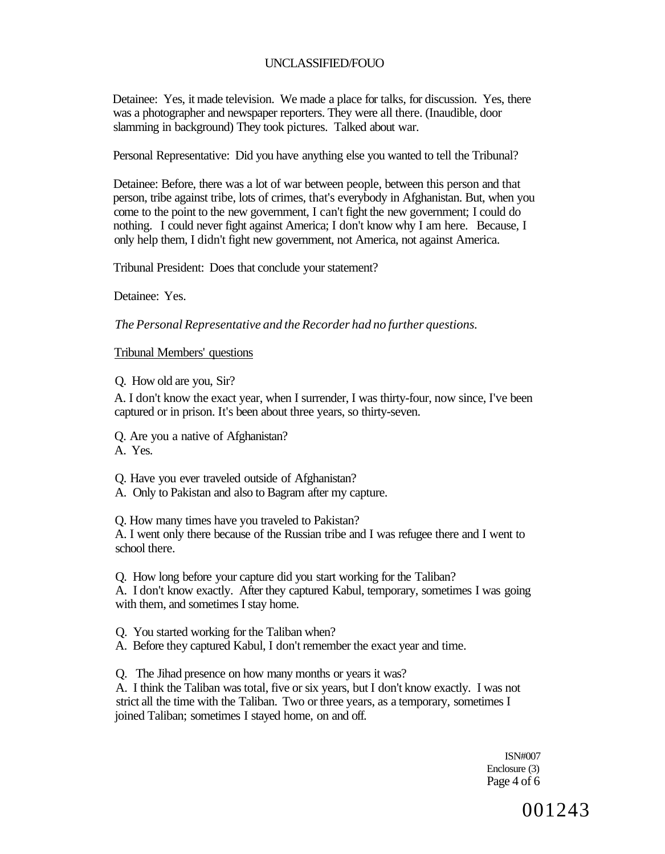Detainee: Yes, it made television. We made a place for talks, for discussion. Yes, there was a photographer and newspaper reporters. They were all there. (Inaudible, door slamming in background) They took pictures. Talked about war.

Personal Representative: Did you have anything else you wanted to tell the Tribunal?

Detainee: Before, there was a lot of war between people, between this person and that person, tribe against tribe, lots of crimes, that's everybody in Afghanistan. But, when you come to the point to the new government, I can't fight the new government; I could do nothing. I could never fight against America; I don't know why I am here. Because, I only help them, I didn't fight new government, not America, not against America.

Tribunal President: Does that conclude your statement?

Detainee: Yes.

*The Personal Representative and the Recorder had no further questions.* 

Tribunal Members' questions

Q. How old are you, Sir?

A. I don't know the exact year, when I surrender, I was thirty-four, now since, I've been captured or in prison. It's been about three years, so thirty-seven.

Q. Are you a native of Afghanistan?

A. Yes.

Q. Have you ever traveled outside of Afghanistan?

A. Only to Pakistan and also to Bagram after my capture.

Q. How many times have you traveled to Pakistan?

A. I went only there because of the Russian tribe and I was refugee there and I went to school there.

Q. How long before your capture did you start working for the Taliban? A. I don't know exactly. After they captured Kabul, temporary, sometimes I was going with them, and sometimes I stay home.

Q. You started working for the Taliban when?

A. Before they captured Kabul, I don't remember the exact year and time.

Q. The Jihad presence on how many months or years it was?

A. I think the Taliban was total, five or six years, but I don't know exactly. I was not strict all the time with the Taliban. Two or three years, as a temporary, sometimes I joined Taliban; sometimes I stayed home, on and off.

> ISN#007 Enclosure (3) Page 4 of 6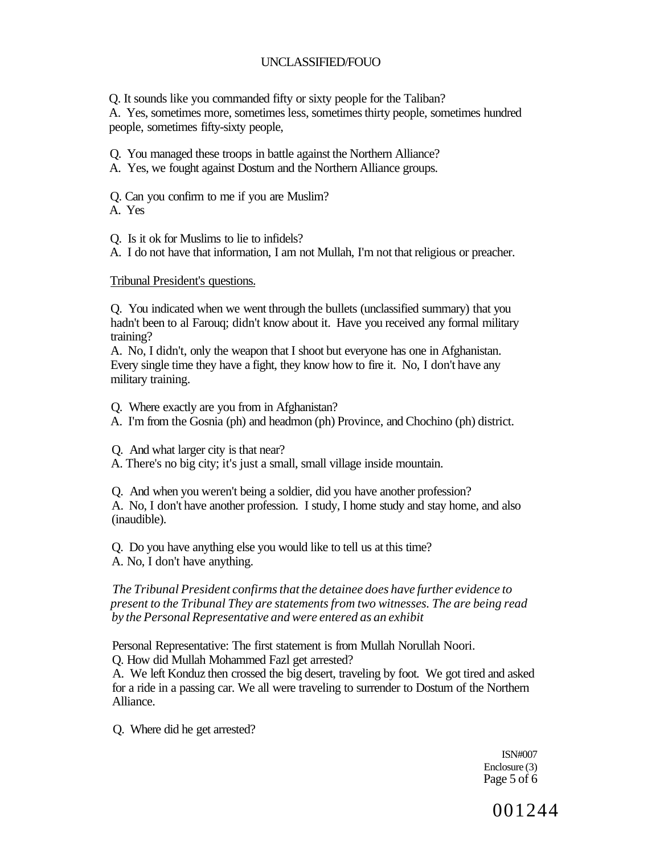Q. It sounds like you commanded fifty or sixty people for the Taliban?

A. Yes, sometimes more, sometimes less, sometimes thirty people, sometimes hundred people, sometimes fifty-sixty people,

Q. You managed these troops in battle against the Northern Alliance?

A. Yes, we fought against Dostum and the Northern Alliance groups.

Q. Can you confirm to me if you are Muslim?

A. Yes

Q. Is it ok for Muslims to lie to infidels?

A. I do not have that information, I am not Mullah, I'm not that religious or preacher.

Tribunal President's questions.

Q. You indicated when we went through the bullets (unclassified summary) that you hadn't been to al Farouq; didn't know about it. Have you received any formal military training?

A. No, I didn't, only the weapon that I shoot but everyone has one in Afghanistan. Every single time they have a fight, they know how to fire it. No, I don't have any military training.

Q. Where exactly are you from in Afghanistan?

A. I'm from the Gosnia (ph) and headmon (ph) Province, and Chochino (ph) district.

Q. And what larger city is that near?

A. There's no big city; it's just a small, small village inside mountain.

Q. And when you weren't being a soldier, did you have another profession? A. No, I don't have another profession. I study, I home study and stay home, and also (inaudible).

Q. Do you have anything else you would like to tell us at this time? A. No, I don't have anything.

*The Tribunal President confirms that the detainee does have further evidence to present to the Tribunal They are statements from two witnesses. The are being read by the Personal Representative and were entered as an exhibit* 

Personal Representative: The first statement is from Mullah Norullah Noori.

Q. How did Mullah Mohammed Fazl get arrested?

A. We left Konduz then crossed the big desert, traveling by foot. We got tired and asked for a ride in a passing car. We all were traveling to surrender to Dostum of the Northern Alliance.

Q. Where did he get arrested?

ISN#007 Enclosure (3) Page 5 of 6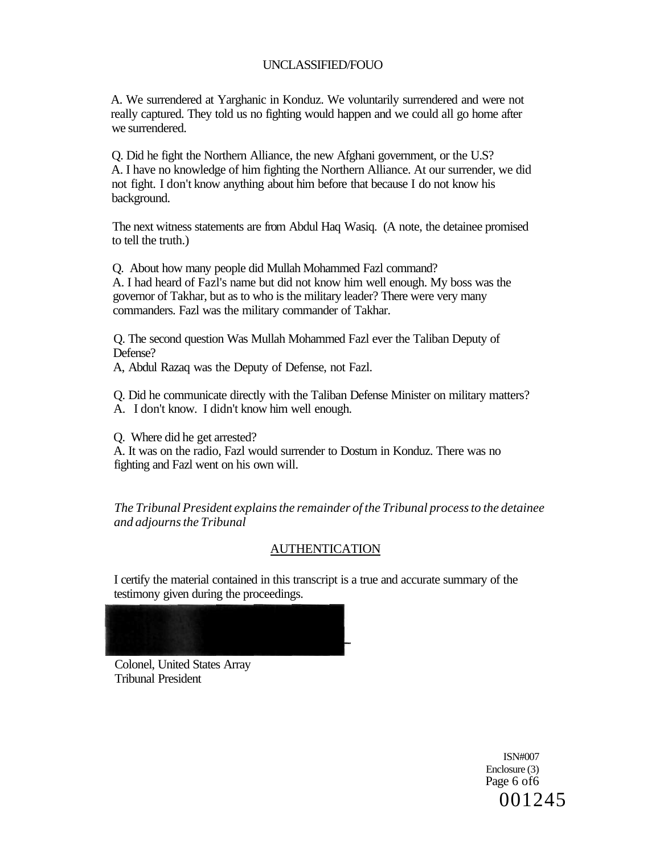A. We surrendered at Yarghanic in Konduz. We voluntarily surrendered and were not really captured. They told us no fighting would happen and we could all go home after we surrendered.

Q. Did he fight the Northern Alliance, the new Afghani government, or the U.S? A. I have no knowledge of him fighting the Northern Alliance. At our surrender, we did not fight. I don't know anything about him before that because I do not know his background.

The next witness statements are from Abdul Haq Wasiq. (A note, the detainee promised to tell the truth.)

Q. About how many people did Mullah Mohammed Fazl command? A. I had heard of Fazl's name but did not know him well enough. My boss was the governor of Takhar, but as to who is the military leader? There were very many commanders. Fazl was the military commander of Takhar.

Q. The second question Was Mullah Mohammed Fazl ever the Taliban Deputy of Defense?

A, Abdul Razaq was the Deputy of Defense, not Fazl.

Q. Did he communicate directly with the Taliban Defense Minister on military matters? A. I don't know. I didn't know him well enough.

Q. Where did he get arrested?

A. It was on the radio, Fazl would surrender to Dostum in Konduz. There was no fighting and Fazl went on his own will.

*The Tribunal President explains the remainder of the Tribunal process to the detainee and adjourns the Tribunal* 

## AUTHENTICATION

I certify the material contained in this transcript is a true and accurate summary of the testimony given during the proceedings.



Colonel, United States Array Tribunal President

> ISN#007 Enclosure (3) Page 6 of6 001245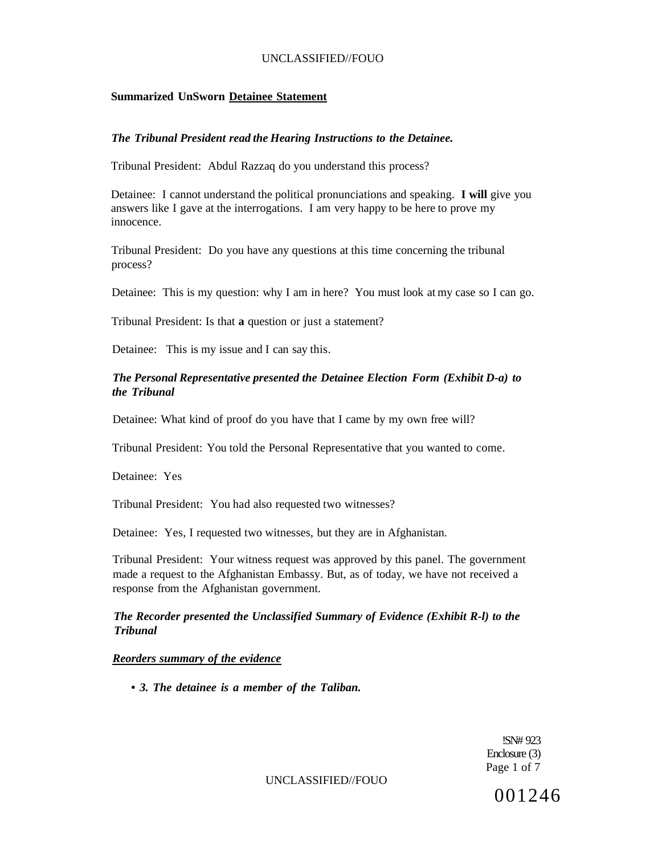## **Summarized UnSworn Detainee Statement**

### *The Tribunal President read the Hearing Instructions to the Detainee.*

Tribunal President: Abdul Razzaq do you understand this process?

Detainee: I cannot understand the political pronunciations and speaking. **I will** give you answers like I gave at the interrogations. I am very happy to be here to prove my innocence.

Tribunal President: Do you have any questions at this time concerning the tribunal process?

Detainee: This is my question: why I am in here? You must look at my case so I can go.

Tribunal President: Is that **a** question or just a statement?

Detainee: This is my issue and I can say this.

### *The Personal Representative presented the Detainee Election Form (Exhibit D-a) to the Tribunal*

Detainee: What kind of proof do you have that I came by my own free will?

Tribunal President: You told the Personal Representative that you wanted to come.

Detainee: Yes

Tribunal President: You had also requested two witnesses?

Detainee: Yes, I requested two witnesses, but they are in Afghanistan.

Tribunal President: Your witness request was approved by this panel. The government made a request to the Afghanistan Embassy. But, as of today, we have not received a response from the Afghanistan government.

### *The Recorder presented the Unclassified Summary of Evidence (Exhibit R-l) to the Tribunal*

### *Reorders summary of the evidence*

**•** *3. The detainee is a member of the Taliban.* 

!SN# 923 Enclosure (3) Page 1 of 7

UNCLASSIFIED//FOUO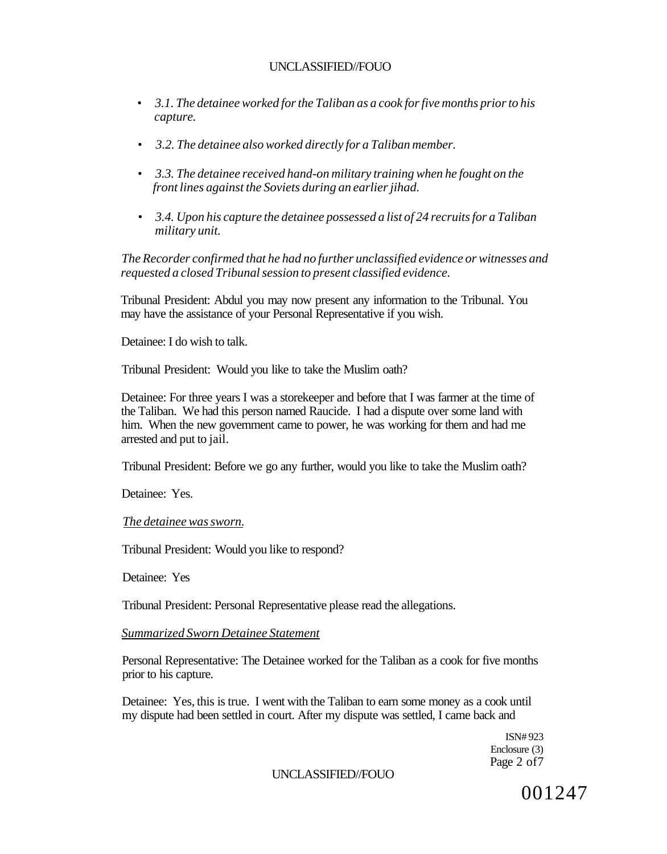- • *3.1. The detainee worked for the Taliban as a cook for five months prior to his capture.*
- • *3.2. The detainee also worked directly for a Taliban member.*
- • *3.3. The detainee received hand-on military training when he fought on the front lines against the Soviets during an earlier jihad.*
- • *3.4. Upon his capture the detainee possessed a list of 24 recruits for a Taliban military unit.*

*The Recorder confirmed that he had no further unclassified evidence or witnesses and requested a closed Tribunal session to present classified evidence.* 

Tribunal President: Abdul you may now present any information to the Tribunal. You may have the assistance of your Personal Representative if you wish.

Detainee: I do wish to talk.

Tribunal President: Would you like to take the Muslim oath?

Detainee: For three years I was a storekeeper and before that I was farmer at the time of the Taliban. We had this person named Raucide. I had a dispute over some land with him. When the new government came to power, he was working for them and had me arrested and put to jail.

Tribunal President: Before we go any further, would you like to take the Muslim oath?

Detainee: Yes.

#### *The detainee was sworn.*

Tribunal President: Would you like to respond?

Detainee: Yes

Tribunal President: Personal Representative please read the allegations.

#### *Summarized Sworn Detainee Statement*

Personal Representative: The Detainee worked for the Taliban as a cook for five months prior to his capture.

Detainee: Yes, this is true. I went with the Taliban to earn some money as a cook until my dispute had been settled in court. After my dispute was settled, I came back and

> ISN# 923 Enclosure (3) Page 2 of7

## UNCLASSIFIED//FOUO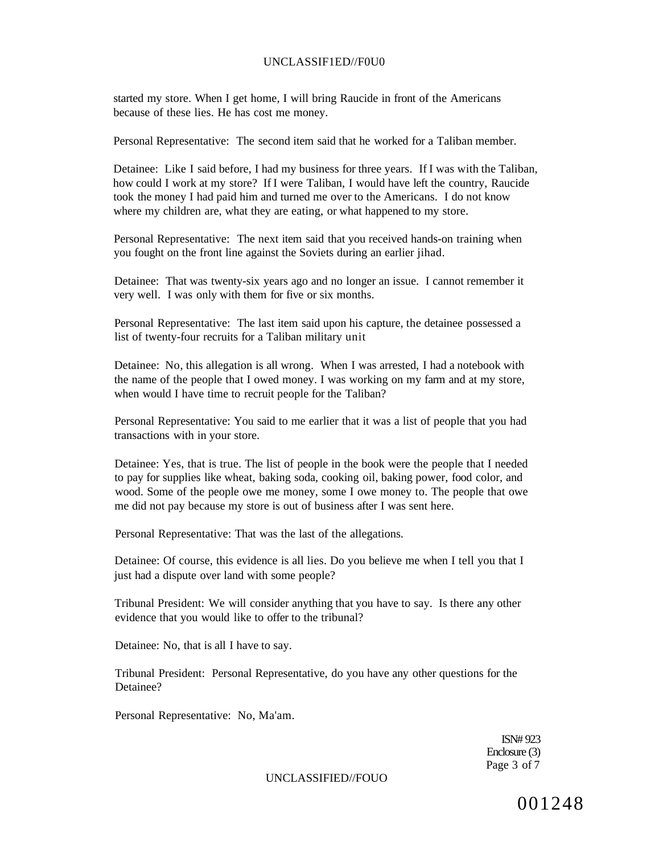#### UNCLASSIF1ED//F0U0

started my store. When I get home, I will bring Raucide in front of the Americans because of these lies. He has cost me money.

Personal Representative: The second item said that he worked for a Taliban member.

Detainee: Like I said before, I had my business for three years. If I was with the Taliban, how could I work at my store? If I were Taliban, I would have left the country, Raucide took the money I had paid him and turned me over to the Americans. I do not know where my children are, what they are eating, or what happened to my store.

Personal Representative: The next item said that you received hands-on training when you fought on the front line against the Soviets during an earlier jihad.

Detainee: That was twenty-six years ago and no longer an issue. I cannot remember it very well. I was only with them for five or six months.

Personal Representative: The last item said upon his capture, the detainee possessed a list of twenty-four recruits for a Taliban military unit

Detainee: No, this allegation is all wrong. When I was arrested, I had a notebook with the name of the people that I owed money. I was working on my farm and at my store, when would I have time to recruit people for the Taliban?

Personal Representative: You said to me earlier that it was a list of people that you had transactions with in your store.

Detainee: Yes, that is true. The list of people in the book were the people that I needed to pay for supplies like wheat, baking soda, cooking oil, baking power, food color, and wood. Some of the people owe me money, some I owe money to. The people that owe me did not pay because my store is out of business after I was sent here.

Personal Representative: That was the last of the allegations.

Detainee: Of course, this evidence is all lies. Do you believe me when I tell you that I just had a dispute over land with some people?

Tribunal President: We will consider anything that you have to say. Is there any other evidence that you would like to offer to the tribunal?

Detainee: No, that is all I have to say.

Tribunal President: Personal Representative, do you have any other questions for the Detainee?

Personal Representative: No, Ma'am.

ISN# 923 Enclosure (3) Page 3 of 7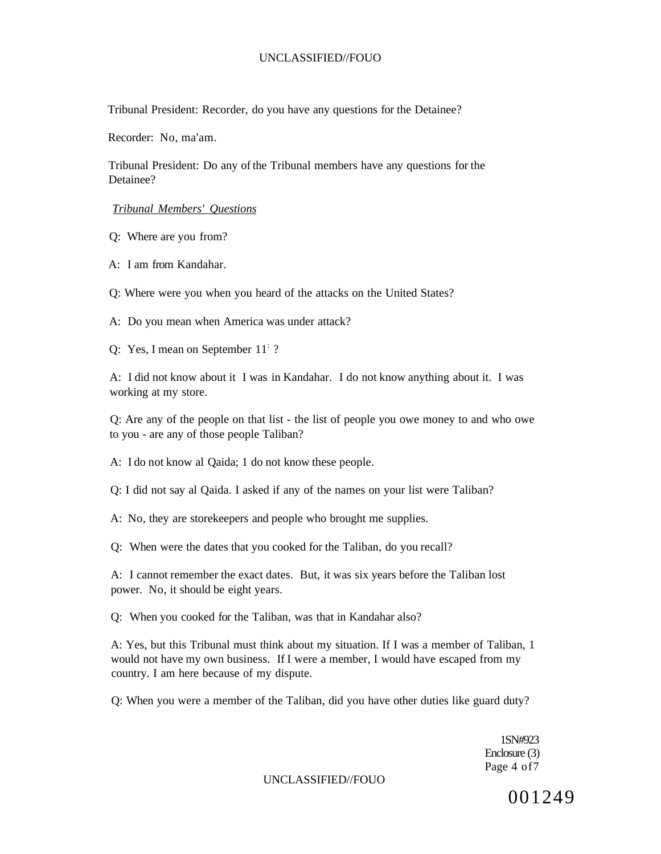Tribunal President: Recorder, do you have any questions for the Detainee?

Recorder: No, ma'am.

Tribunal President: Do any of the Tribunal members have any questions for the Detainee?

*Tribunal Members' Questions* 

Q: Where are you from?

A: I am from Kandahar.

Q: Where were you when you heard of the attacks on the United States?

A: Do you mean when America was under attack?

Q: Yes, I mean on September 11<sup>:</sup> ?

A: I did not know about it I was in Kandahar. I do not know anything about it. I was working at my store.

Q: Are any of the people on that list - the list of people you owe money to and who owe to you - are any of those people Taliban?

A: I do not know al Qaida; 1 do not know these people.

Q: I did not say al Qaida. I asked if any of the names on your list were Taliban?

A: No, they are storekeepers and people who brought me supplies.

Q: When were the dates that you cooked for the Taliban, do you recall?

A: I cannot remember the exact dates. But, it was six years before the Taliban lost power. No, it should be eight years.

Q: When you cooked for the Taliban, was that in Kandahar also?

A: Yes, but this Tribunal must think about my situation. If I was a member of Taliban, 1 would not have my own business. If I were a member, I would have escaped from my country. I am here because of my dispute.

Q: When you were a member of the Taliban, did you have other duties like guard duty?

1SN#923 Enclosure (3) Page 4 of7

UNCLASSIFIED//FOUO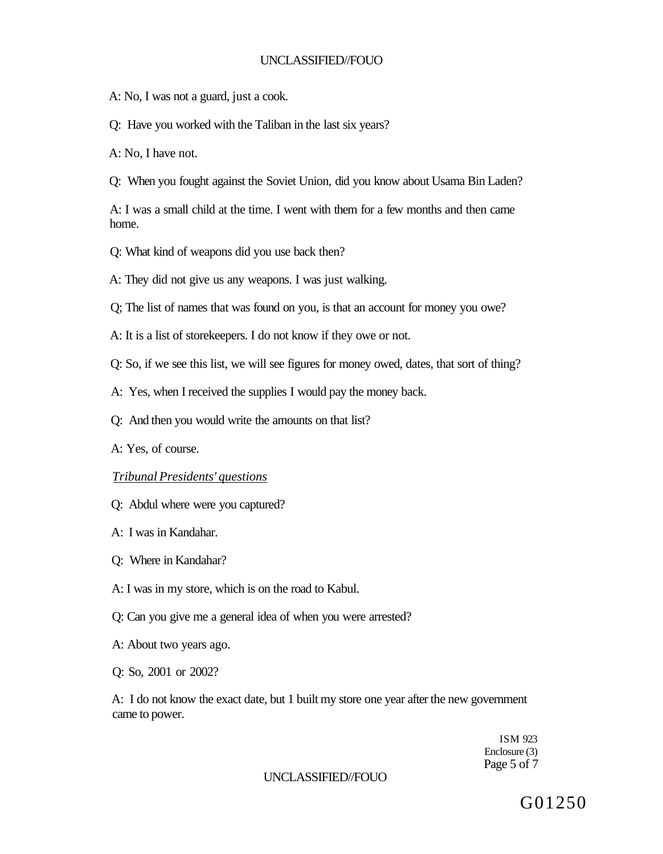A: No, I was not a guard, just a cook.

Q: Have you worked with the Taliban in the last six years?

A: No, I have not.

Q: When you fought against the Soviet Union, did you know about Usama Bin Laden?

A: I was a small child at the time. I went with them for a few months and then came home.

Q: What kind of weapons did you use back then?

A: They did not give us any weapons. I was just walking.

Q; The list of names that was found on you, is that an account for money you owe?

A: It is a list of storekeepers. I do not know if they owe or not.

Q: So, if we see this list, we will see figures for money owed, dates, that sort of thing?

A: Yes, when I received the supplies I would pay the money back.

Q: And then you would write the amounts on that list?

A: Yes, of course.

### *Tribunal Presidents' questions*

- Q: Abdul where were you captured?
- A: I was in Kandahar.
- Q: Where in Kandahar?

A: I was in my store, which is on the road to Kabul.

Q: Can you give me a general idea of when you were arrested?

A: About two years ago.

Q: So, 2001 or 2002?

A: I do not know the exact date, but 1 built my store one year after the new government came to power.

> ISM 923 Enclosure (3) Page 5 of 7

### UNCLASSIFIED//FOUO

G01250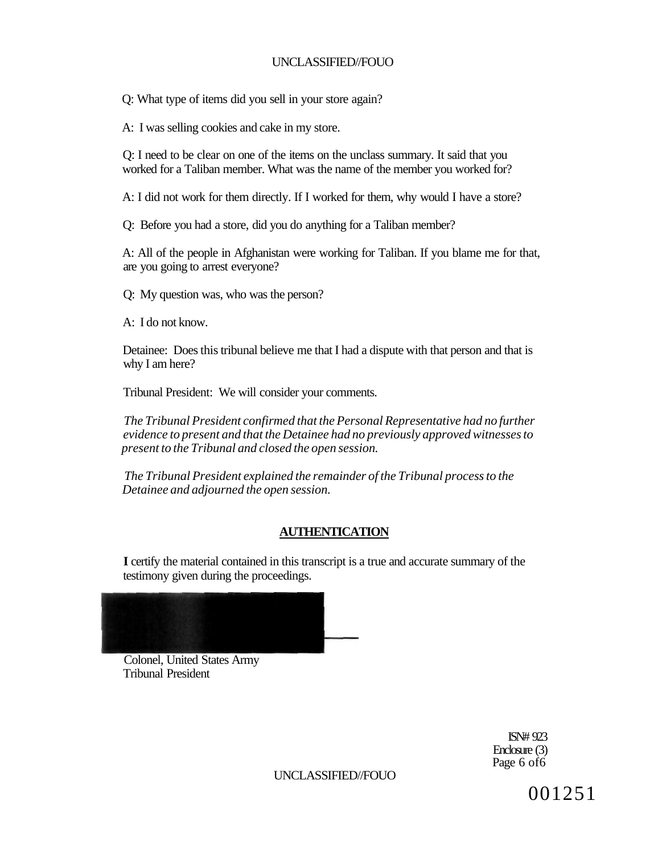Q: What type of items did you sell in your store again?

A: I was selling cookies and cake in my store.

Q: I need to be clear on one of the items on the unclass summary. It said that you worked for a Taliban member. What was the name of the member you worked for?

A: I did not work for them directly. If I worked for them, why would I have a store?

Q: Before you had a store, did you do anything for a Taliban member?

A: All of the people in Afghanistan were working for Taliban. If you blame me for that, are you going to arrest everyone?

Q: My question was, who was the person?

A: I do not know.

Detainee: Does this tribunal believe me that I had a dispute with that person and that is why I am here?

Tribunal President: We will consider your comments.

*The Tribunal President confirmed that the Personal Representative had no further evidence to present and that the Detainee had no previously approved witnesses to present to the Tribunal and closed the open session.* 

*The Tribunal President explained the remainder of the Tribunal process to the Detainee and adjourned the open session.* 

# **AUTHENTICATION**

**I** certify the material contained in this transcript is a true and accurate summary of the testimony given during the proceedings.



Colonel, United States Army Tribunal President

> ISN# 923 Enclosure (3) Page 6 of6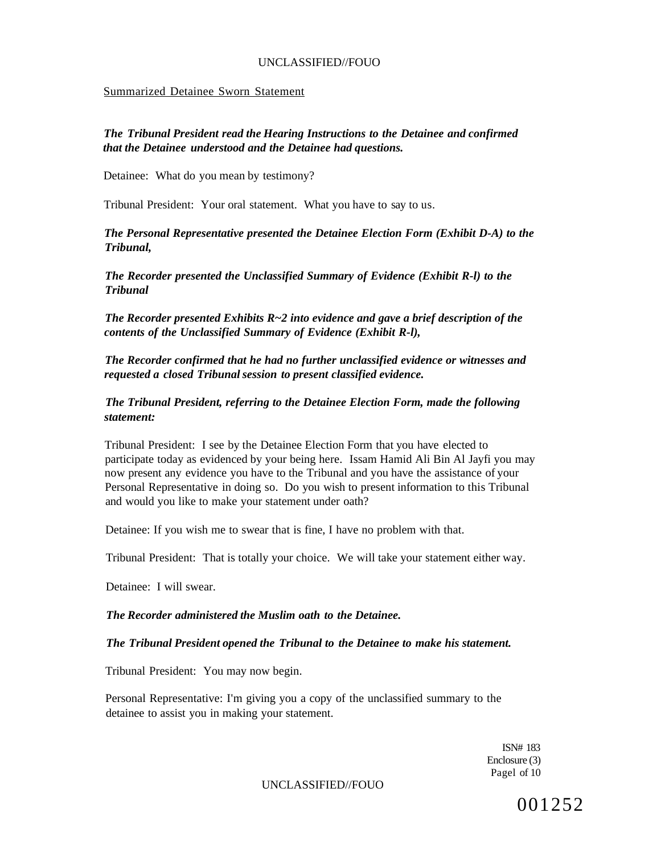#### Summarized Detainee Sworn Statement

## *The Tribunal President read the Hearing Instructions to the Detainee and confirmed that the Detainee understood and the Detainee had questions.*

Detainee: What do you mean by testimony?

Tribunal President: Your oral statement. What you have to say to us.

*The Personal Representative presented the Detainee Election Form (Exhibit D-A) to the Tribunal,* 

*The Recorder presented the Unclassified Summary of Evidence (Exhibit R-l) to the Tribunal* 

*The Recorder presented Exhibits R~2 into evidence and gave a brief description of the contents of the Unclassified Summary of Evidence (Exhibit R-l),* 

*The Recorder confirmed that he had no further unclassified evidence or witnesses and requested a closed Tribunal session to present classified evidence.* 

## *The Tribunal President, referring to the Detainee Election Form, made the following statement:*

Tribunal President: I see by the Detainee Election Form that you have elected to participate today as evidenced by your being here. Issam Hamid Ali Bin Al Jayfi you may now present any evidence you have to the Tribunal and you have the assistance of your Personal Representative in doing so. Do you wish to present information to this Tribunal and would you like to make your statement under oath?

Detainee: If you wish me to swear that is fine, I have no problem with that.

Tribunal President: That is totally your choice. We will take your statement either way.

Detainee: I will swear.

### *The Recorder administered the Muslim oath to the Detainee.*

### *The Tribunal President opened the Tribunal to the Detainee to make his statement.*

Tribunal President: You may now begin.

Personal Representative: I'm giving you a copy of the unclassified summary to the detainee to assist you in making your statement.

> ISN# 183 Enclosure (3) Pagel of 10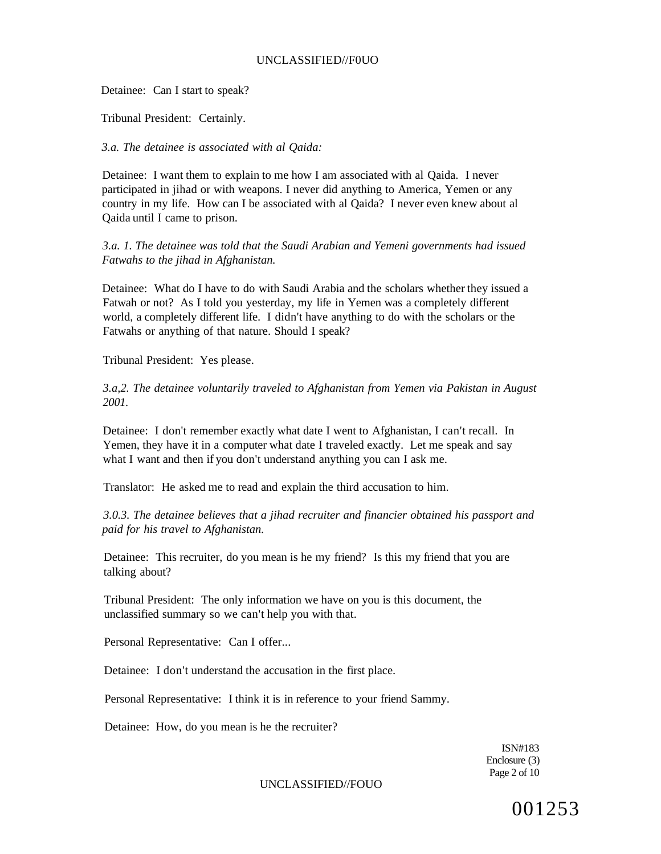Detainee: Can I start to speak?

Tribunal President: Certainly.

*3.a. The detainee is associated with al Qaida:* 

Detainee: I want them to explain to me how I am associated with al Qaida. I never participated in jihad or with weapons. I never did anything to America, Yemen or any country in my life. How can I be associated with al Qaida? I never even knew about al Qaida until I came to prison.

*3.a. 1. The detainee was told that the Saudi Arabian and Yemeni governments had issued Fatwahs to the jihad in Afghanistan.* 

Detainee: What do I have to do with Saudi Arabia and the scholars whether they issued a Fatwah or not? As I told you yesterday, my life in Yemen was a completely different world, a completely different life. I didn't have anything to do with the scholars or the Fatwahs or anything of that nature. Should I speak?

Tribunal President: Yes please.

*3.a,2. The detainee voluntarily traveled to Afghanistan from Yemen via Pakistan in August 2001.* 

Detainee: I don't remember exactly what date I went to Afghanistan, I can't recall. In Yemen, they have it in a computer what date I traveled exactly. Let me speak and say what I want and then if you don't understand anything you can I ask me.

Translator: He asked me to read and explain the third accusation to him.

*3.0.3. The detainee believes that a jihad recruiter and financier obtained his passport and paid for his travel to Afghanistan.* 

Detainee: This recruiter, do you mean is he my friend? Is this my friend that you are talking about?

Tribunal President: The only information we have on you is this document, the unclassified summary so we can't help you with that.

Personal Representative: Can I offer...

Detainee: I don't understand the accusation in the first place.

Personal Representative: I think it is in reference to your friend Sammy.

Detainee: How, do you mean is he the recruiter?

ISN#183 Enclosure (3) Page 2 of 10

UNCLASSIFIED//FOUO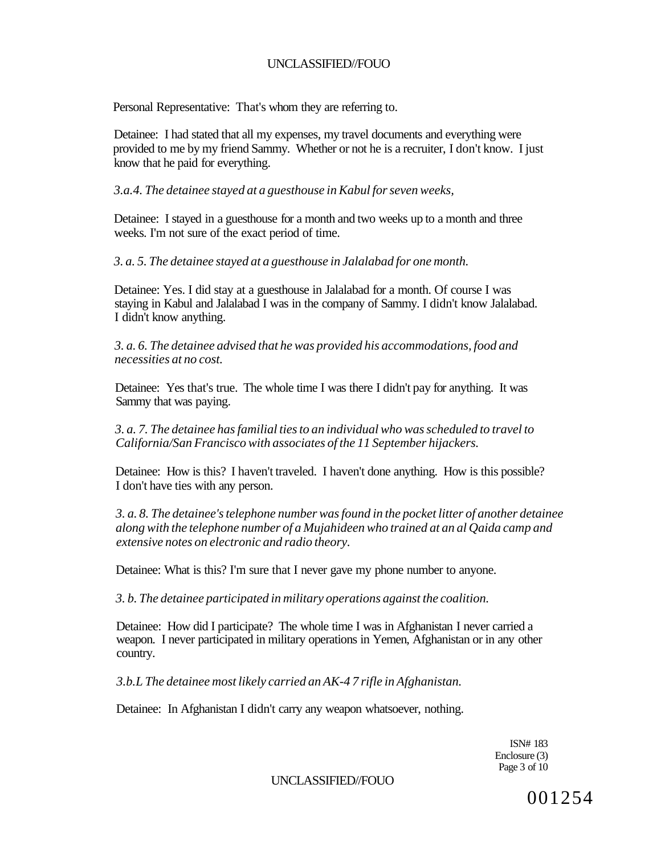Personal Representative: That's whom they are referring to.

Detainee: I had stated that all my expenses, my travel documents and everything were provided to me by my friend Sammy. Whether or not he is a recruiter, I don't know. I just know that he paid for everything.

*3.a.4. The detainee stayed at a guesthouse in Kabul for seven weeks,* 

Detainee: I stayed in a guesthouse for a month and two weeks up to a month and three weeks. I'm not sure of the exact period of time.

*3. a. 5. The detainee stayed at a guesthouse in Jalalabad for one month.* 

Detainee: Yes. I did stay at a guesthouse in Jalalabad for a month. Of course I was staying in Kabul and Jalalabad I was in the company of Sammy. I didn't know Jalalabad. I didn't know anything.

*3. a. 6. The detainee advised that he was provided his accommodations, food and necessities at no cost.* 

Detainee: Yes that's true. The whole time I was there I didn't pay for anything. It was Sammy that was paying.

*3. a. 7. The detainee has familial ties to an individual who was scheduled to travel to California/San Francisco with associates of the 11 September hijackers.* 

Detainee: How is this? I haven't traveled. I haven't done anything. How is this possible? I don't have ties with any person.

*3. a. 8. The detainee's telephone number was found in the pocket litter of another detainee along with the telephone number of a Mujahideen who trained at an al Qaida camp and extensive notes on electronic and radio theory.* 

Detainee: What is this? I'm sure that I never gave my phone number to anyone.

*3. b. The detainee participated in military operations against the coalition.* 

Detainee: How did I participate? The whole time I was in Afghanistan I never carried a weapon. I never participated in military operations in Yemen, Afghanistan or in any other country.

*3.b.L The detainee most likely carried an AK-4 7 rifle in Afghanistan.* 

Detainee: In Afghanistan I didn't carry any weapon whatsoever, nothing.

ISN# 183 Enclosure (3) Page 3 of 10

UNCLASSIFIED//FOUO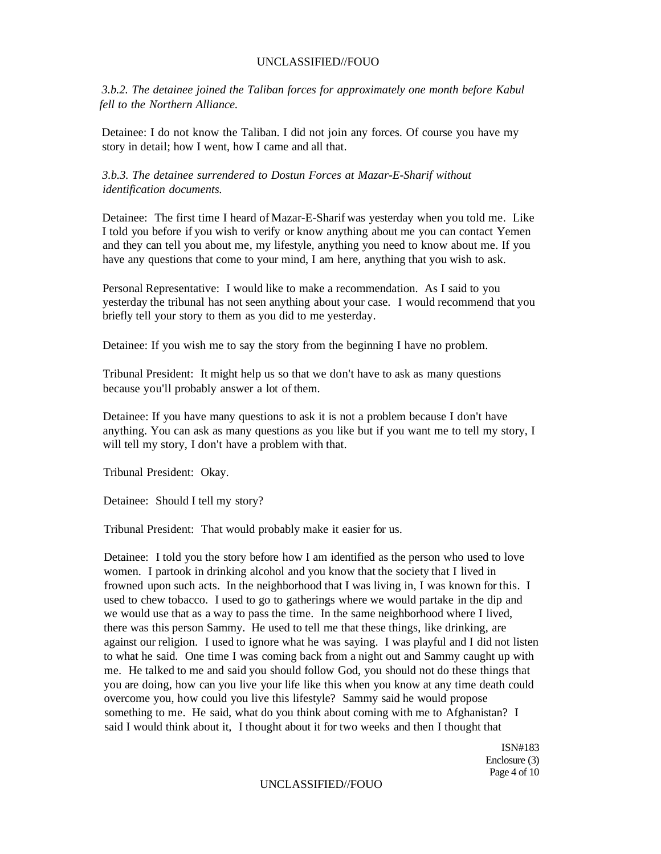*3.b.2. The detainee joined the Taliban forces for approximately one month before Kabul fell to the Northern Alliance.* 

Detainee: I do not know the Taliban. I did not join any forces. Of course you have my story in detail; how I went, how I came and all that.

*3.b.3. The detainee surrendered to Dostun Forces at Mazar-E-Sharif without identification documents.* 

Detainee: The first time I heard of Mazar-E-Sharif was yesterday when you told me. Like I told you before if you wish to verify or know anything about me you can contact Yemen and they can tell you about me, my lifestyle, anything you need to know about me. If you have any questions that come to your mind, I am here, anything that you wish to ask.

Personal Representative: I would like to make a recommendation. As I said to you yesterday the tribunal has not seen anything about your case. I would recommend that you briefly tell your story to them as you did to me yesterday.

Detainee: If you wish me to say the story from the beginning I have no problem.

Tribunal President: It might help us so that we don't have to ask as many questions because you'll probably answer a lot of them.

Detainee: If you have many questions to ask it is not a problem because I don't have anything. You can ask as many questions as you like but if you want me to tell my story, I will tell my story, I don't have a problem with that.

Tribunal President: Okay.

Detainee: Should I tell my story?

Tribunal President: That would probably make it easier for us.

Detainee: I told you the story before how I am identified as the person who used to love women. I partook in drinking alcohol and you know that the society that I lived in frowned upon such acts. In the neighborhood that I was living in, I was known for this. I used to chew tobacco. I used to go to gatherings where we would partake in the dip and we would use that as a way to pass the time. In the same neighborhood where I lived, there was this person Sammy. He used to tell me that these things, like drinking, are against our religion. I used to ignore what he was saying. I was playful and I did not listen to what he said. One time I was coming back from a night out and Sammy caught up with me. He talked to me and said you should follow God, you should not do these things that you are doing, how can you live your life like this when you know at any time death could overcome you, how could you live this lifestyle? Sammy said he would propose something to me. He said, what do you think about coming with me to Afghanistan? I said I would think about it, I thought about it for two weeks and then I thought that

> ISN#183 Enclosure (3) Page 4 of 10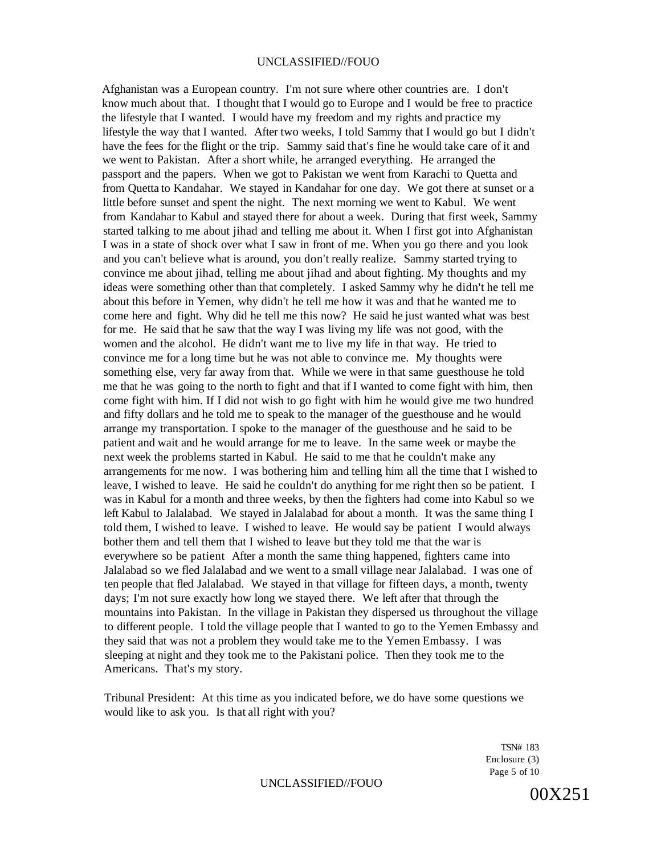Afghanistan was a European country. I'm not sure where other countries are. I don't know much about that. I thought that I would go to Europe and I would be free to practice the lifestyle that I wanted. I would have my freedom and my rights and practice my lifestyle the way that I wanted. After two weeks, I told Sammy that I would go but I didn't have the fees for the flight or the trip. Sammy said that's fine he would take care of it and we went to Pakistan. After a short while, he arranged everything. He arranged the passport and the papers. When we got to Pakistan we went from Karachi to Quetta and from Quetta to Kandahar. We stayed in Kandahar for one day. We got there at sunset or a little before sunset and spent the night. The next morning we went to Kabul. We went from Kandahar to Kabul and stayed there for about a week. During that first week, Sammy started talking to me about jihad and telling me about it. When I first got into Afghanistan I was in a state of shock over what I saw in front of me. When you go there and you look and you can't believe what is around, you don't really realize. Sammy started trying to convince me about jihad, telling me about jihad and about fighting. My thoughts and my ideas were something other than that completely. I asked Sammy why he didn't he tell me about this before in Yemen, why didn't he tell me how it was and that he wanted me to come here and fight. Why did he tell me this now? He said he just wanted what was best for me. He said that he saw that the way I was living my life was not good, with the women and the alcohol. He didn't want me to live my life in that way. He tried to convince me for a long time but he was not able to convince me. My thoughts were something else, very far away from that. While we were in that same guesthouse he told me that he was going to the north to fight and that if I wanted to come fight with him, then come fight with him. If I did not wish to go fight with him he would give me two hundred and fifty dollars and he told me to speak to the manager of the guesthouse and he would arrange my transportation. I spoke to the manager of the guesthouse and he said to be patient and wait and he would arrange for me to leave. In the same week or maybe the next week the problems started in Kabul. He said to me that he couldn't make any arrangements for me now. I was bothering him and telling him all the time that I wished to leave, I wished to leave. He said he couldn't do anything for me right then so be patient. I was in Kabul for a month and three weeks, by then the fighters had come into Kabul so we left Kabul to Jalalabad. We stayed in Jalalabad for about a month. It was the same thing I told them, I wished to leave. I wished to leave. He would say be patient I would always bother them and tell them that I wished to leave but they told me that the war is everywhere so be patient After a month the same thing happened, fighters came into Jalalabad so we fled Jalalabad and we went to a small village near Jalalabad. I was one of ten people that fled Jalalabad. We stayed in that village for fifteen days, a month, twenty days; I'm not sure exactly how long we stayed there. We left after that through the mountains into Pakistan. In the village in Pakistan they dispersed us throughout the village to different people. I told the village people that I wanted to go to the Yemen Embassy and they said that was not a problem they would take me to the Yemen Embassy. I was sleeping at night and they took me to the Pakistani police. Then they took me to the Americans. That's my story.

Tribunal President: At this time as you indicated before, we do have some questions we would like to ask you. Is that all right with you?

> TSN# 183 Enclosure (3) Page 5 of 10

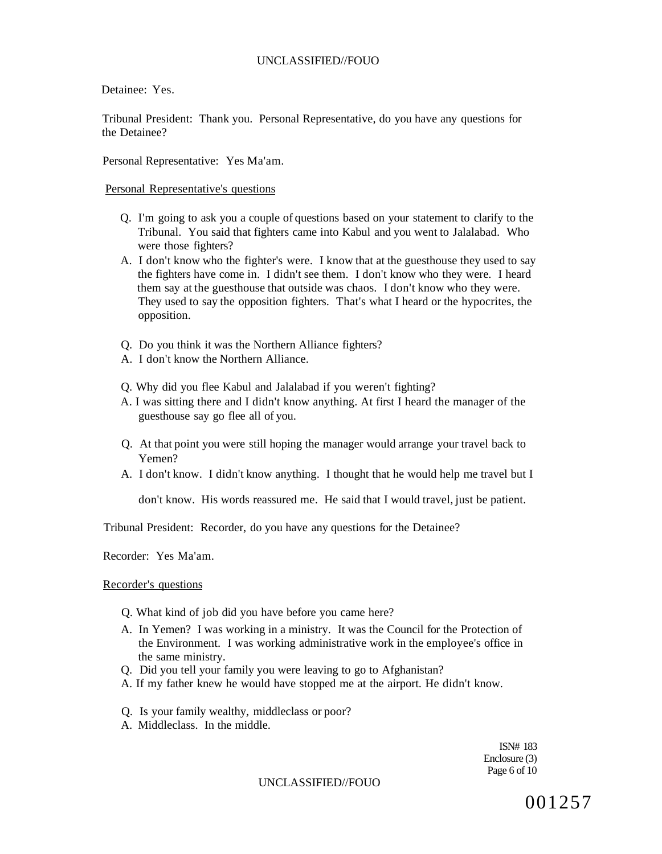Detainee: Yes.

Tribunal President: Thank you. Personal Representative, do you have any questions for the Detainee?

Personal Representative: Yes Ma'am.

#### Personal Representative's questions

- Q. I'm going to ask you a couple of questions based on your statement to clarify to the Tribunal. You said that fighters came into Kabul and you went to Jalalabad. Who were those fighters?
- A. I don't know who the fighter's were. I know that at the guesthouse they used to say the fighters have come in. I didn't see them. I don't know who they were. I heard them say at the guesthouse that outside was chaos. I don't know who they were. They used to say the opposition fighters. That's what I heard or the hypocrites, the opposition.
- Q. Do you think it was the Northern Alliance fighters?
- A. I don't know the Northern Alliance.
- Q. Why did you flee Kabul and Jalalabad if you weren't fighting?
- A. I was sitting there and I didn't know anything. At first I heard the manager of the guesthouse say go flee all of you.
- Q. At that point you were still hoping the manager would arrange your travel back to Yemen?
- A. I don't know. I didn't know anything. I thought that he would help me travel but I

don't know. His words reassured me. He said that I would travel, just be patient.

Tribunal President: Recorder, do you have any questions for the Detainee?

Recorder: Yes Ma'am.

#### Recorder's questions

- Q. What kind of job did you have before you came here?
- A. In Yemen? I was working in a ministry. It was the Council for the Protection of the Environment. I was working administrative work in the employee's office in the same ministry.
- Q. Did you tell your family you were leaving to go to Afghanistan?
- A. If my father knew he would have stopped me at the airport. He didn't know.
- Q. Is your family wealthy, middleclass or poor?
- A. Middleclass. In the middle.

ISN# 183 Enclosure (3) Page 6 of 10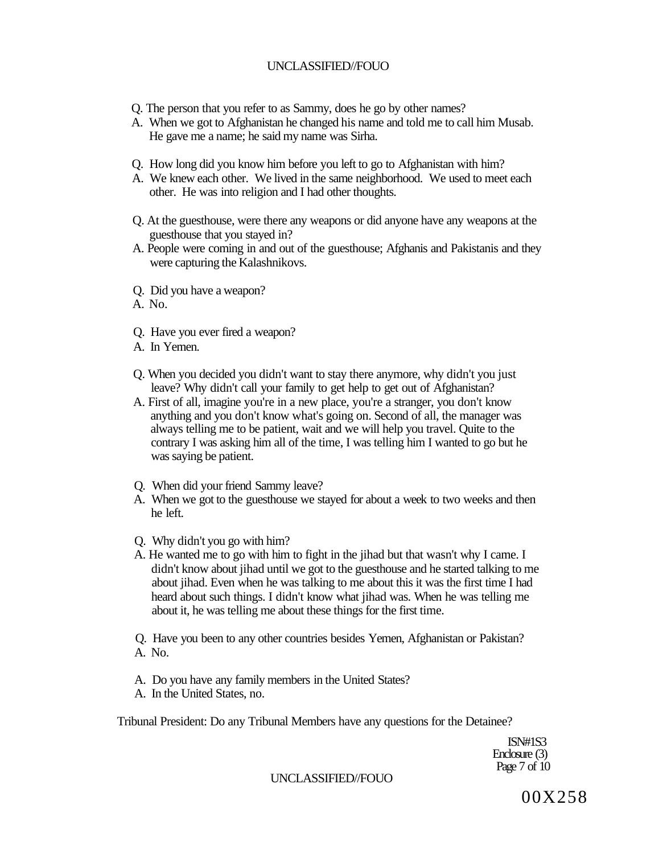- Q. The person that you refer to as Sammy, does he go by other names?
- A. When we got to Afghanistan he changed his name and told me to call him Musab. He gave me a name; he said my name was Sirha.
- Q. How long did you know him before you left to go to Afghanistan with him?
- A. We knew each other. We lived in the same neighborhood. We used to meet each other. He was into religion and I had other thoughts.
- Q. At the guesthouse, were there any weapons or did anyone have any weapons at the guesthouse that you stayed in?
- A. People were coming in and out of the guesthouse; Afghanis and Pakistanis and they were capturing the Kalashnikovs.
- Q. Did you have a weapon?
- A. No.
- Q. Have you ever fired a weapon?
- A. In Yemen.
- Q. When you decided you didn't want to stay there anymore, why didn't you just leave? Why didn't call your family to get help to get out of Afghanistan?
- A. First of all, imagine you're in a new place, you're a stranger, you don't know anything and you don't know what's going on. Second of all, the manager was always telling me to be patient, wait and we will help you travel. Quite to the contrary I was asking him all of the time, I was telling him I wanted to go but he was saying be patient.
- Q. When did your friend Sammy leave?
- A. When we got to the guesthouse we stayed for about a week to two weeks and then he left.
- Q. Why didn't you go with him?
- A. He wanted me to go with him to fight in the jihad but that wasn't why I came. I didn't know about jihad until we got to the guesthouse and he started talking to me about jihad. Even when he was talking to me about this it was the first time I had heard about such things. I didn't know what jihad was. When he was telling me about it, he was telling me about these things for the first time.
- Q. Have you been to any other countries besides Yemen, Afghanistan or Pakistan? A. No.
- A. Do you have any family members in the United States?
- A. In the United States, no.

Tribunal President: Do any Tribunal Members have any questions for the Detainee?

ISN#1S3 Enclosure (3) Page 7 of 10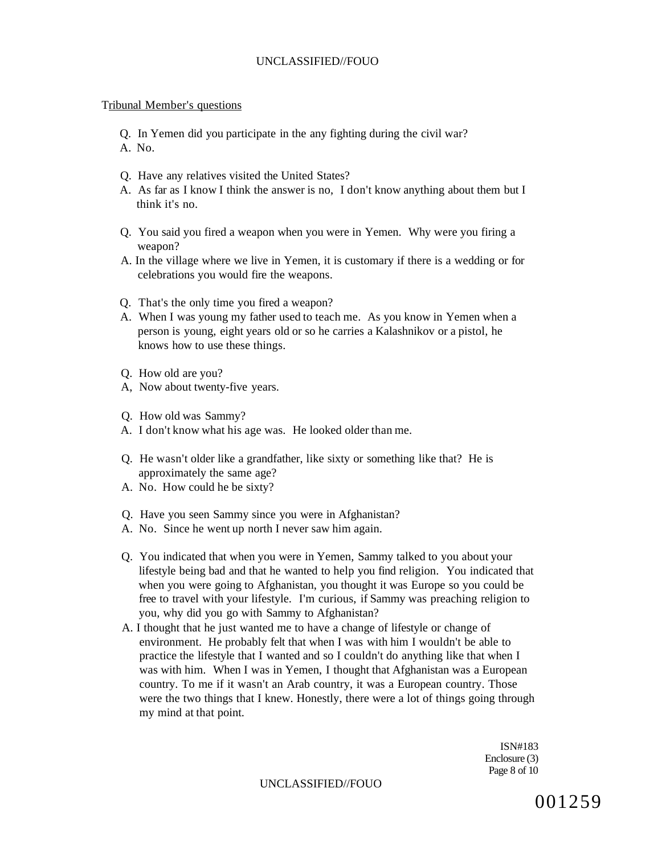#### Tribunal Member's questions

- Q. In Yemen did you participate in the any fighting during the civil war?
- A. No.
- Q. Have any relatives visited the United States?
- A. As far as I know I think the answer is no, I don't know anything about them but I think it's no.
- Q. You said you fired a weapon when you were in Yemen. Why were you firing a weapon?
- A. In the village where we live in Yemen, it is customary if there is a wedding or for celebrations you would fire the weapons.
- Q. That's the only time you fired a weapon?
- A. When I was young my father used to teach me. As you know in Yemen when a person is young, eight years old or so he carries a Kalashnikov or a pistol, he knows how to use these things.
- Q. How old are you?
- A, Now about twenty-five years.
- Q. How old was Sammy?
- A. I don't know what his age was. He looked older than me.
- Q. He wasn't older like a grandfather, like sixty or something like that? He is approximately the same age?
- A. No. How could he be sixty?
- Q. Have you seen Sammy since you were in Afghanistan?
- A. No. Since he went up north I never saw him again.
- Q. You indicated that when you were in Yemen, Sammy talked to you about your lifestyle being bad and that he wanted to help you find religion. You indicated that when you were going to Afghanistan, you thought it was Europe so you could be free to travel with your lifestyle. I'm curious, if Sammy was preaching religion to you, why did you go with Sammy to Afghanistan?
- A. I thought that he just wanted me to have a change of lifestyle or change of environment. He probably felt that when I was with him I wouldn't be able to practice the lifestyle that I wanted and so I couldn't do anything like that when I was with him. When I was in Yemen, I thought that Afghanistan was a European country. To me if it wasn't an Arab country, it was a European country. Those were the two things that I knew. Honestly, there were a lot of things going through my mind at that point.

ISN#183 Enclosure (3) Page 8 of 10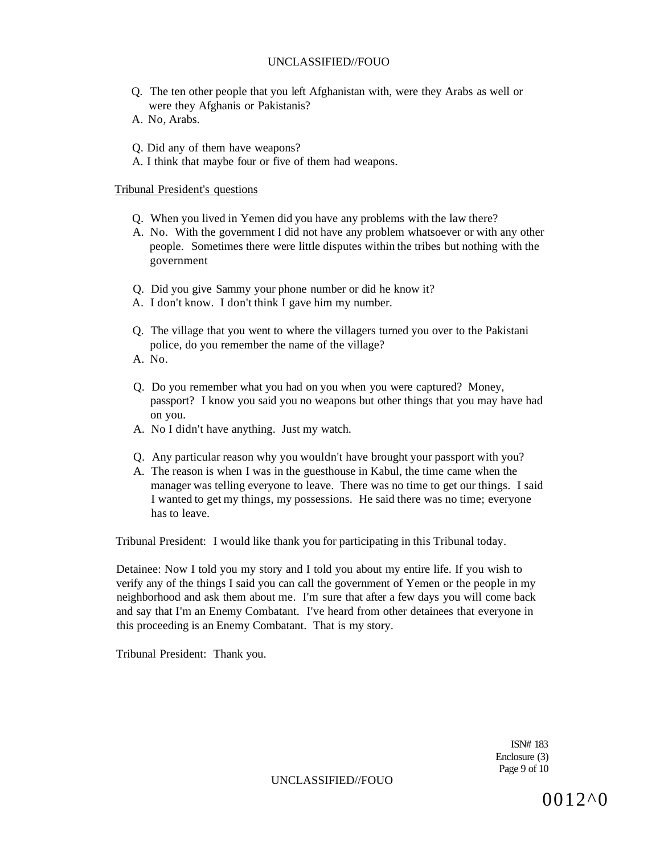- Q. The ten other people that you left Afghanistan with, were they Arabs as well or were they Afghanis or Pakistanis?
- A. No, Arabs.
- Q. Did any of them have weapons?
- A. I think that maybe four or five of them had weapons.

### Tribunal President's questions

- Q. When you lived in Yemen did you have any problems with the law there?
- A. No. With the government I did not have any problem whatsoever or with any other people. Sometimes there were little disputes within the tribes but nothing with the government
- Q. Did you give Sammy your phone number or did he know it?
- A. I don't know. I don't think I gave him my number.
- Q. The village that you went to where the villagers turned you over to the Pakistani police, do you remember the name of the village?
- A. No.
- Q. Do you remember what you had on you when you were captured? Money, passport? I know you said you no weapons but other things that you may have had on you.
- A. No I didn't have anything. Just my watch.
- Q. Any particular reason why you wouldn't have brought your passport with you?
- A. The reason is when I was in the guesthouse in Kabul, the time came when the manager was telling everyone to leave. There was no time to get our things. I said I wanted to get my things, my possessions. He said there was no time; everyone has to leave.

Tribunal President: I would like thank you for participating in this Tribunal today.

Detainee: Now I told you my story and I told you about my entire life. If you wish to verify any of the things I said you can call the government of Yemen or the people in my neighborhood and ask them about me. I'm sure that after a few days you will come back and say that I'm an Enemy Combatant. I've heard from other detainees that everyone in this proceeding is an Enemy Combatant. That is my story.

Tribunal President: Thank you.

ISN# 183 Enclosure (3) Page 9 of 10

UNCLASSIFIED//FOUO

0012^0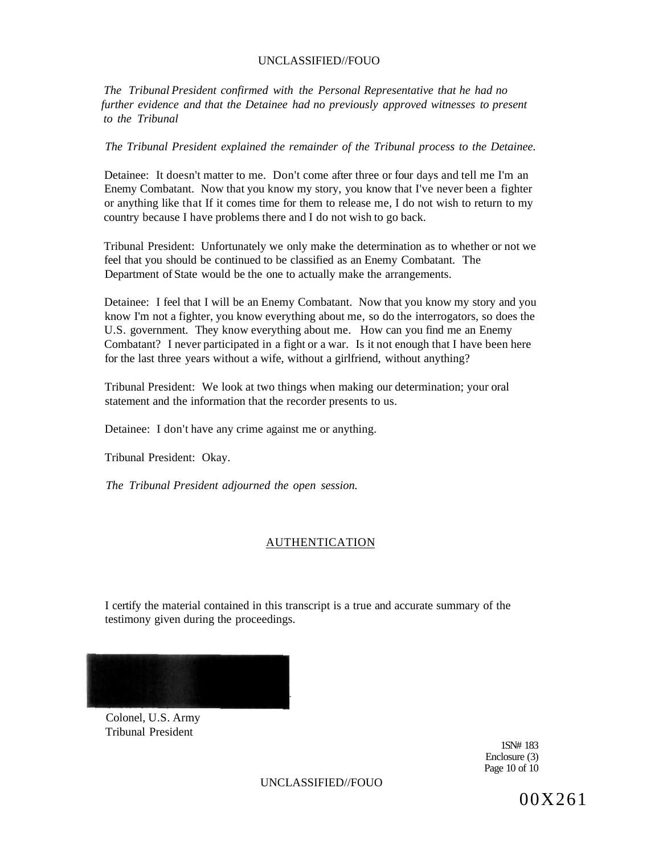*The Tribunal President confirmed with the Personal Representative that he had no further evidence and that the Detainee had no previously approved witnesses to present to the Tribunal* 

*The Tribunal President explained the remainder of the Tribunal process to the Detainee.* 

Detainee: It doesn't matter to me. Don't come after three or four days and tell me I'm an Enemy Combatant. Now that you know my story, you know that I've never been a fighter or anything like that If it comes time for them to release me, I do not wish to return to my country because I have problems there and I do not wish to go back.

Tribunal President: Unfortunately we only make the determination as to whether or not we feel that you should be continued to be classified as an Enemy Combatant. The Department of State would be the one to actually make the arrangements.

Detainee: I feel that I will be an Enemy Combatant. Now that you know my story and you know I'm not a fighter, you know everything about me, so do the interrogators, so does the U.S. government. They know everything about me. How can you find me an Enemy Combatant? I never participated in a fight or a war. Is it not enough that I have been here for the last three years without a wife, without a girlfriend, without anything?

Tribunal President: We look at two things when making our determination; your oral statement and the information that the recorder presents to us.

Detainee: I don't have any crime against me or anything.

Tribunal President: Okay.

*The Tribunal President adjourned the open session.* 

## AUTHENTICATION

I certify the material contained in this transcript is a true and accurate summary of the testimony given during the proceedings.



Colonel, U.S. Army Tribunal President

> 1SN# 183 Enclosure (3) Page 10 of 10

UNCLASSIFIED//FOUO

00X261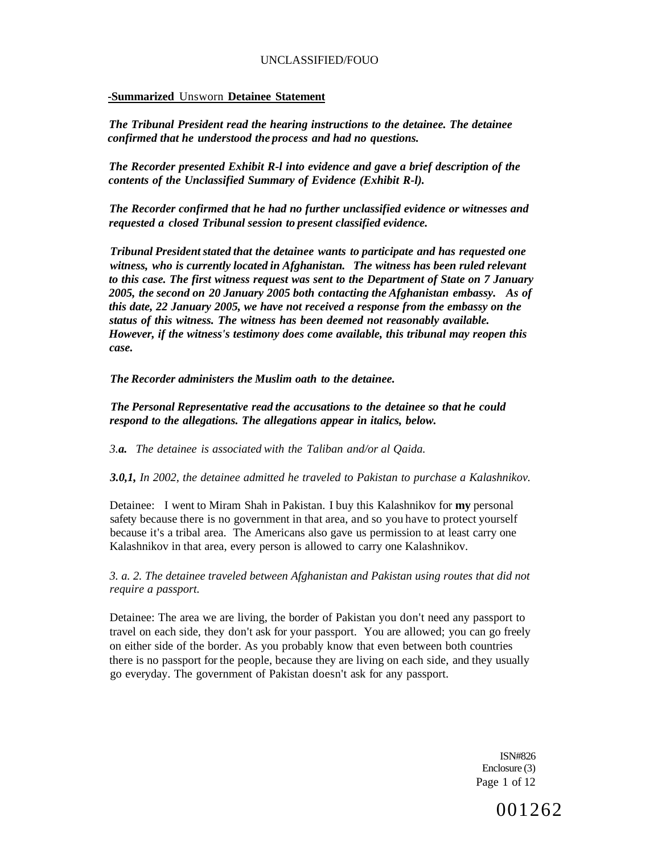#### **-Summarized** Unsworn **Detainee Statement**

*The Tribunal President read the hearing instructions to the detainee. The detainee confirmed that he understood the process and had no questions.* 

*The Recorder presented Exhibit R-l into evidence and gave a brief description of the contents of the Unclassified Summary of Evidence (Exhibit R-l).* 

*The Recorder confirmed that he had no further unclassified evidence or witnesses and requested a closed Tribunal session to present classified evidence.* 

*Tribunal President stated that the detainee wants to participate and has requested one witness, who is currently located in Afghanistan. The witness has been ruled relevant to this case. The first witness request was sent to the Department of State on 7 January 2005, the second on 20 January 2005 both contacting the Afghanistan embassy. As of this date, 22 January 2005, we have not received a response from the embassy on the status of this witness. The witness has been deemed not reasonably available. However, if the witness's testimony does come available, this tribunal may reopen this case.* 

*The Recorder administers the Muslim oath to the detainee.* 

*The Personal Representative read the accusations to the detainee so that he could respond to the allegations. The allegations appear in italics, below.* 

*3.a. The detainee is associated with the Taliban and/or al Qaida.* 

*3.0,1, In 2002, the detainee admitted he traveled to Pakistan to purchase a Kalashnikov.* 

Detainee: I went to Miram Shah in Pakistan. I buy this Kalashnikov for **my** personal safety because there is no government in that area, and so you have to protect yourself because it's a tribal area. The Americans also gave us permission to at least carry one Kalashnikov in that area, every person is allowed to carry one Kalashnikov.

*3. a. 2. The detainee traveled between Afghanistan and Pakistan using routes that did not require a passport.* 

Detainee: The area we are living, the border of Pakistan you don't need any passport to travel on each side, they don't ask for your passport. You are allowed; you can go freely on either side of the border. As you probably know that even between both countries there is no passport for the people, because they are living on each side, and they usually go everyday. The government of Pakistan doesn't ask for any passport.

> ISN#826 Enclosure (3) Page 1 of 12

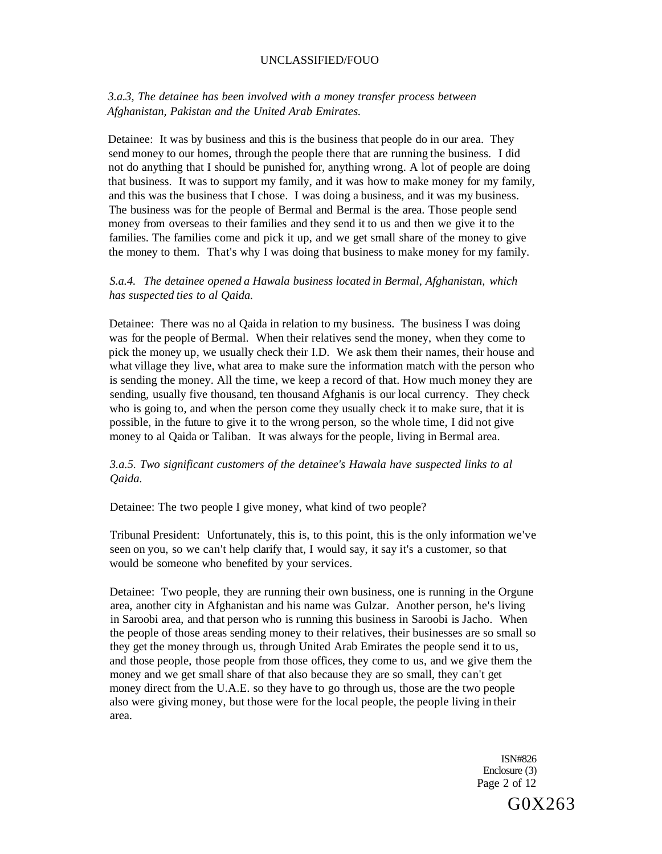## *3.a.3, The detainee has been involved with a money transfer process between Afghanistan, Pakistan and the United Arab Emirates.*

Detainee: It was by business and this is the business that people do in our area. They send money to our homes, through the people there that are running the business. I did not do anything that I should be punished for, anything wrong. A lot of people are doing that business. It was to support my family, and it was how to make money for my family, and this was the business that I chose. I was doing a business, and it was my business. The business was for the people of Bermal and Bermal is the area. Those people send money from overseas to their families and they send it to us and then we give it to the families. The families come and pick it up, and we get small share of the money to give the money to them. That's why I was doing that business to make money for my family.

### *S.a.4. The detainee opened a Hawala business located in Bermal, Afghanistan, which has suspected ties to al Qaida.*

Detainee: There was no al Qaida in relation to my business. The business I was doing was for the people of Bermal. When their relatives send the money, when they come to pick the money up, we usually check their I.D. We ask them their names, their house and what village they live, what area to make sure the information match with the person who is sending the money. All the time, we keep a record of that. How much money they are sending, usually five thousand, ten thousand Afghanis is our local currency. They check who is going to, and when the person come they usually check it to make sure, that it is possible, in the future to give it to the wrong person, so the whole time, I did not give money to al Qaida or Taliban. It was always for the people, living in Bermal area.

### *3.a.5. Two significant customers of the detainee's Hawala have suspected links to al Qaida.*

Detainee: The two people I give money, what kind of two people?

Tribunal President: Unfortunately, this is, to this point, this is the only information we've seen on you, so we can't help clarify that, I would say, it say it's a customer, so that would be someone who benefited by your services.

Detainee: Two people, they are running their own business, one is running in the Orgune area, another city in Afghanistan and his name was Gulzar. Another person, he's living in Saroobi area, and that person who is running this business in Saroobi is Jacho. When the people of those areas sending money to their relatives, their businesses are so small so they get the money through us, through United Arab Emirates the people send it to us, and those people, those people from those offices, they come to us, and we give them the money and we get small share of that also because they are so small, they can't get money direct from the U.A.E. so they have to go through us, those are the two people also were giving money, but those were for the local people, the people living in their area.

> ISN#826 Enclosure (3) Page 2 of 12 G0X263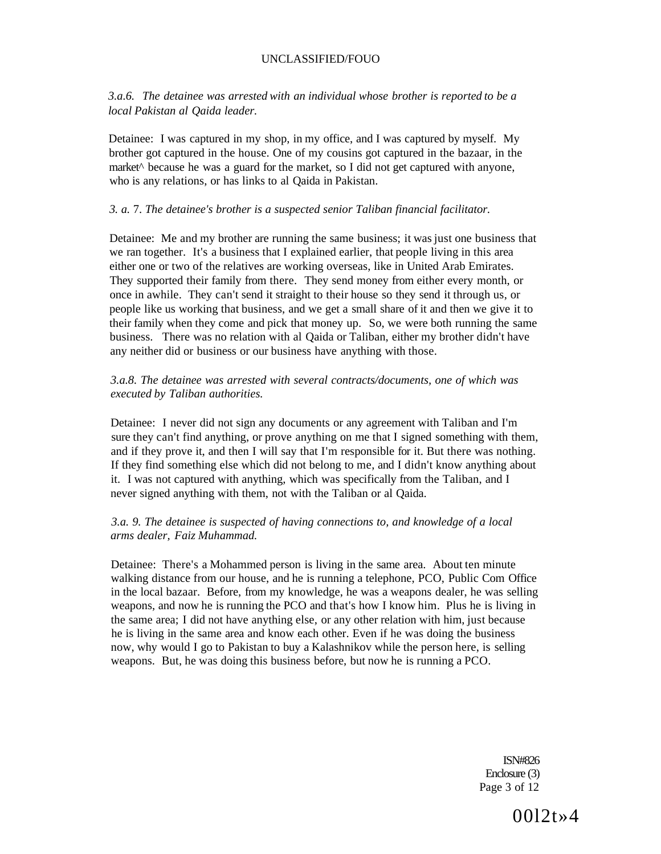*3.a.6. The detainee was arrested with an individual whose brother is reported to be a local Pakistan al Qaida leader.* 

Detainee: I was captured in my shop, in my office, and I was captured by myself. My brother got captured in the house. One of my cousins got captured in the bazaar, in the market<sup>^</sup> because he was a guard for the market, so I did not get captured with anyone, who is any relations, or has links to al Qaida in Pakistan.

#### *3. a.* 7. *The detainee's brother is a suspected senior Taliban financial facilitator.*

Detainee: Me and my brother are running the same business; it was just one business that we ran together. It's a business that I explained earlier, that people living in this area either one or two of the relatives are working overseas, like in United Arab Emirates. They supported their family from there. They send money from either every month, or once in awhile. They can't send it straight to their house so they send it through us, or people like us working that business, and we get a small share of it and then we give it to their family when they come and pick that money up. So, we were both running the same business. There was no relation with al Qaida or Taliban, either my brother didn't have any neither did or business or our business have anything with those.

### *3.a.8. The detainee was arrested with several contracts/documents, one of which was executed by Taliban authorities.*

Detainee: I never did not sign any documents or any agreement with Taliban and I'm sure they can't find anything, or prove anything on me that I signed something with them, and if they prove it, and then I will say that I'm responsible for it. But there was nothing. If they find something else which did not belong to me, and I didn't know anything about it. I was not captured with anything, which was specifically from the Taliban, and I never signed anything with them, not with the Taliban or al Qaida.

## *3.a. 9. The detainee is suspected of having connections to, and knowledge of a local arms dealer, Faiz Muhammad.*

Detainee: There's a Mohammed person is living in the same area. About ten minute walking distance from our house, and he is running a telephone, PCO, Public Com Office in the local bazaar. Before, from my knowledge, he was a weapons dealer, he was selling weapons, and now he is running the PCO and that's how I know him. Plus he is living in the same area; I did not have anything else, or any other relation with him, just because he is living in the same area and know each other. Even if he was doing the business now, why would I go to Pakistan to buy a Kalashnikov while the person here, is selling weapons. But, he was doing this business before, but now he is running a PCO.

> ISN#826 Enclosure (3) Page 3 of 12

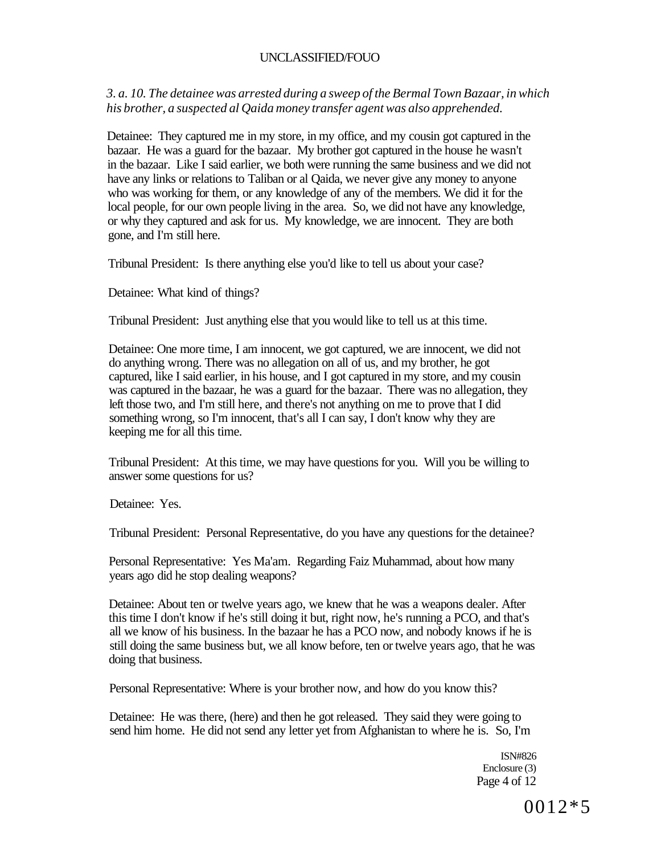*3. a. 10. The detainee was arrested during a sweep of the Bermal Town Bazaar, in which his brother, a suspected al Qaida money transfer agent was also apprehended.* 

Detainee: They captured me in my store, in my office, and my cousin got captured in the bazaar. He was a guard for the bazaar. My brother got captured in the house he wasn't in the bazaar. Like I said earlier, we both were running the same business and we did not have any links or relations to Taliban or al Qaida, we never give any money to anyone who was working for them, or any knowledge of any of the members. We did it for the local people, for our own people living in the area. So, we did not have any knowledge, or why they captured and ask for us. My knowledge, we are innocent. They are both gone, and I'm still here.

Tribunal President: Is there anything else you'd like to tell us about your case?

Detainee: What kind of things?

Tribunal President: Just anything else that you would like to tell us at this time.

Detainee: One more time, I am innocent, we got captured, we are innocent, we did not do anything wrong. There was no allegation on all of us, and my brother, he got captured, like I said earlier, in his house, and I got captured in my store, and my cousin was captured in the bazaar, he was a guard for the bazaar. There was no allegation, they left those two, and I'm still here, and there's not anything on me to prove that I did something wrong, so I'm innocent, that's all I can say, I don't know why they are keeping me for all this time.

Tribunal President: At this time, we may have questions for you. Will you be willing to answer some questions for us?

Detainee: Yes.

Tribunal President: Personal Representative, do you have any questions for the detainee?

Personal Representative: Yes Ma'am. Regarding Faiz Muhammad, about how many years ago did he stop dealing weapons?

Detainee: About ten or twelve years ago, we knew that he was a weapons dealer. After this time I don't know if he's still doing it but, right now, he's running a PCO, and that's all we know of his business. In the bazaar he has a PCO now, and nobody knows if he is still doing the same business but, we all know before, ten or twelve years ago, that he was doing that business.

Personal Representative: Where is your brother now, and how do you know this?

Detainee: He was there, (here) and then he got released. They said they were going to send him home. He did not send any letter yet from Afghanistan to where he is. So, I'm

> ISN#826 Enclosure (3) Page 4 of 12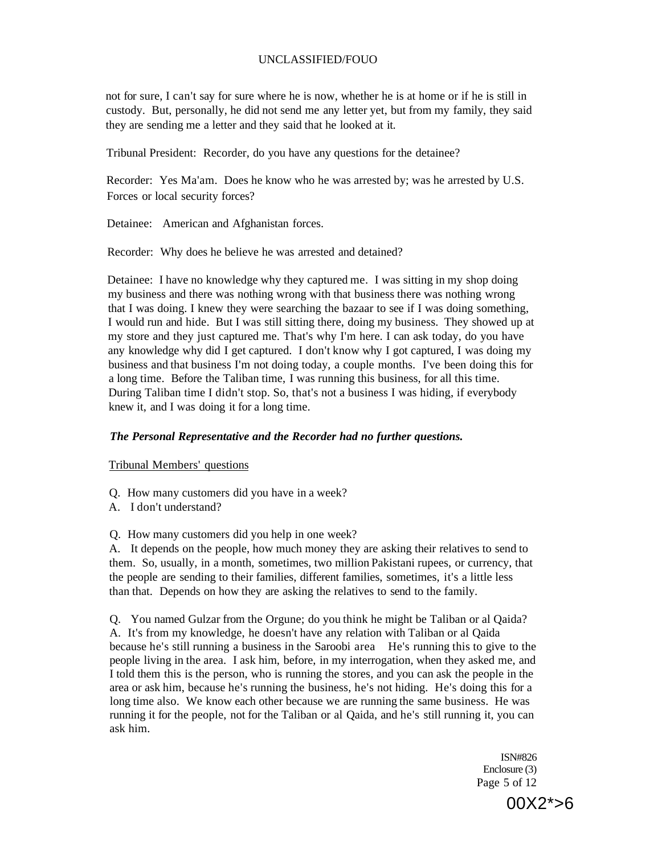not for sure, I can't say for sure where he is now, whether he is at home or if he is still in custody. But, personally, he did not send me any letter yet, but from my family, they said they are sending me a letter and they said that he looked at it.

Tribunal President: Recorder, do you have any questions for the detainee?

Recorder: Yes Ma'am. Does he know who he was arrested by; was he arrested by U.S. Forces or local security forces?

Detainee: American and Afghanistan forces.

Recorder: Why does he believe he was arrested and detained?

Detainee: I have no knowledge why they captured me. I was sitting in my shop doing my business and there was nothing wrong with that business there was nothing wrong that I was doing. I knew they were searching the bazaar to see if I was doing something, I would run and hide. But I was still sitting there, doing my business. They showed up at my store and they just captured me. That's why I'm here. I can ask today, do you have any knowledge why did I get captured. I don't know why I got captured, I was doing my business and that business I'm not doing today, a couple months. I've been doing this for a long time. Before the Taliban time, I was running this business, for all this time. During Taliban time I didn't stop. So, that's not a business I was hiding, if everybody knew it, and I was doing it for a long time.

### *The Personal Representative and the Recorder had no further questions.*

Tribunal Members' questions

- Q. How many customers did you have in a week?
- A. I don't understand?

Q. How many customers did you help in one week?

A. It depends on the people, how much money they are asking their relatives to send to them. So, usually, in a month, sometimes, two million Pakistani rupees, or currency, that the people are sending to their families, different families, sometimes, it's a little less than that. Depends on how they are asking the relatives to send to the family.

Q. You named Gulzar from the Orgune; do you think he might be Taliban or al Qaida? A. It's from my knowledge, he doesn't have any relation with Taliban or al Qaida because he's still running a business in the Saroobi area He's running this to give to the people living in the area. I ask him, before, in my interrogation, when they asked me, and I told them this is the person, who is running the stores, and you can ask the people in the area or ask him, because he's running the business, he's not hiding. He's doing this for a long time also. We know each other because we are running the same business. He was running it for the people, not for the Taliban or al Qaida, and he's still running it, you can ask him.

> ISN#826 Enclosure (3) Page 5 of 12

> > 00X2\*>6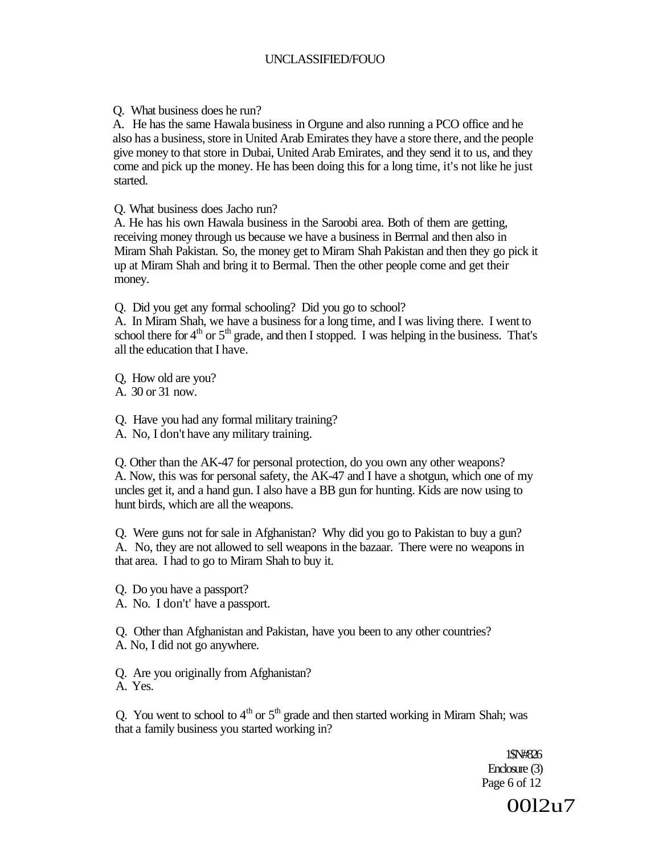Q. What business does he run?

A. He has the same Hawala business in Orgune and also running a PCO office and he also has a business, store in United Arab Emirates they have a store there, and the people give money to that store in Dubai, United Arab Emirates, and they send it to us, and they come and pick up the money. He has been doing this for a long time, it's not like he just started.

Q. What business does Jacho run?

A. He has his own Hawala business in the Saroobi area. Both of them are getting, receiving money through us because we have a business in Berrnal and then also in Miram Shah Pakistan. So, the money get to Miram Shah Pakistan and then they go pick it up at Miram Shah and bring it to Bermal. Then the other people come and get their money.

Q. Did you get any formal schooling? Did you go to school?

A. In Miram Shah, we have a business for a long time, and I was living there. I went to school there for  $4<sup>th</sup>$  or  $5<sup>th</sup>$  grade, and then I stopped. I was helping in the business. That's all the education that I have.

Q, How old are you? A. 30 or 31 now.

Q. Have you had any formal military training?

A. No, I don't have any military training.

Q. Other than the AK-47 for personal protection, do you own any other weapons? A. Now, this was for personal safety, the AK-47 and I have a shotgun, which one of my uncles get it, and a hand gun. I also have a BB gun for hunting. Kids are now using to hunt birds, which are all the weapons.

Q. Were guns not for sale in Afghanistan? Why did you go to Pakistan to buy a gun? A. No, they are not allowed to sell weapons in the bazaar. There were no weapons in that area. I had to go to Miram Shah to buy it.

Q. Do you have a passport?

A. No. I don't' have a passport.

Q. Other than Afghanistan and Pakistan, have you been to any other countries? A. No, I did not go anywhere.

Q. Are you originally from Afghanistan? A. Yes.

Q. You went to school to  $4<sup>th</sup>$  or  $5<sup>th</sup>$  grade and then started working in Miram Shah; was that a family business you started working in?

> 1\$N#826 Enclosure (3) Page 6 of 12

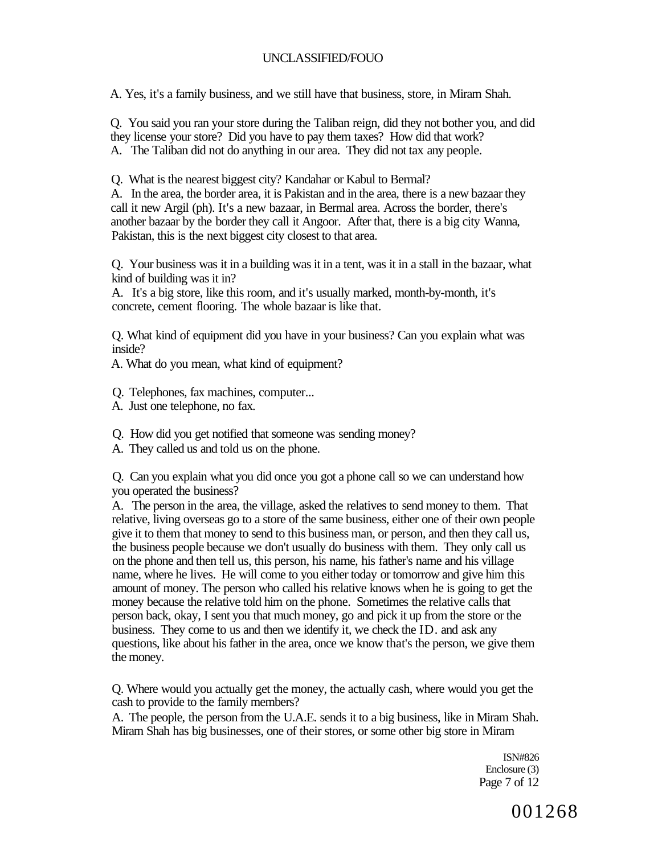A. Yes, it's a family business, and we still have that business, store, in Miram Shah.

Q. You said you ran your store during the Taliban reign, did they not bother you, and did they license your store? Did you have to pay them taxes? How did that work? A. The Taliban did not do anything in our area. They did not tax any people.

Q. What is the nearest biggest city? Kandahar or Kabul to Bermal?

A. In the area, the border area, it is Pakistan and in the area, there is a new bazaar they call it new Argil (ph). It's a new bazaar, in Bermal area. Across the border, there's another bazaar by the border they call it Angoor. After that, there is a big city Wanna, Pakistan, this is the next biggest city closest to that area.

Q. Your business was it in a building was it in a tent, was it in a stall in the bazaar, what kind of building was it in?

A. It's a big store, like this room, and it's usually marked, month-by-month, it's concrete, cement flooring. The whole bazaar is like that.

Q. What kind of equipment did you have in your business? Can you explain what was inside?

A. What do you mean, what kind of equipment?

Q. Telephones, fax machines, computer...

A. Just one telephone, no fax.

Q. How did you get notified that someone was sending money?

A. They called us and told us on the phone.

Q. Can you explain what you did once you got a phone call so we can understand how you operated the business?

A. The person in the area, the village, asked the relatives to send money to them. That relative, living overseas go to a store of the same business, either one of their own people give it to them that money to send to this business man, or person, and then they call us, the business people because we don't usually do business with them. They only call us on the phone and then tell us, this person, his name, his father's name and his village name, where he lives. He will come to you either today or tomorrow and give him this amount of money. The person who called his relative knows when he is going to get the money because the relative told him on the phone. Sometimes the relative calls that person back, okay, I sent you that much money, go and pick it up from the store or the business. They come to us and then we identify it, we check the ID. and ask any questions, like about his father in the area, once we know that's the person, we give them the money.

Q. Where would you actually get the money, the actually cash, where would you get the cash to provide to the family members?

A. The people, the person from the U.A.E. sends it to a big business, like in Miram Shah. Miram Shah has big businesses, one of their stores, or some other big store in Miram

> ISN#826 Enclosure (3) Page 7 of 12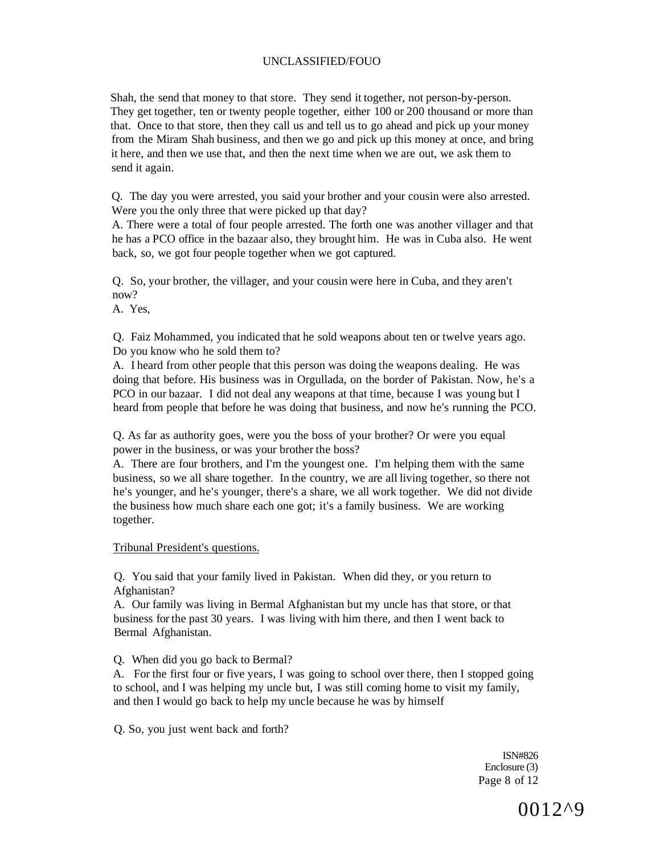Shah, the send that money to that store. They send it together, not person-by-person. They get together, ten or twenty people together, either 100 or 200 thousand or more than that. Once to that store, then they call us and tell us to go ahead and pick up your money from the Miram Shah business, and then we go and pick up this money at once, and bring it here, and then we use that, and then the next time when we are out, we ask them to send it again.

Q. The day you were arrested, you said your brother and your cousin were also arrested. Were you the only three that were picked up that day?

A. There were a total of four people arrested. The forth one was another villager and that he has a PCO office in the bazaar also, they brought him. He was in Cuba also. He went back, so, we got four people together when we got captured.

Q. So, your brother, the villager, and your cousin were here in Cuba, and they aren't now?

A. Yes,

Q. Faiz Mohammed, you indicated that he sold weapons about ten or twelve years ago. Do you know who he sold them to?

A. I heard from other people that this person was doing the weapons dealing. He was doing that before. His business was in Orgullada, on the border of Pakistan. Now, he's a PCO in our bazaar. I did not deal any weapons at that time, because I was young but I heard from people that before he was doing that business, and now he's running the PCO.

Q. As far as authority goes, were you the boss of your brother? Or were you equal power in the business, or was your brother the boss?

A. There are four brothers, and I'm the youngest one. I'm helping them with the same business, so we all share together. In the country, we are all living together, so there not he's younger, and he's younger, there's a share, we all work together. We did not divide the business how much share each one got; it's a family business. We are working together.

Tribunal President's questions.

Q. You said that your family lived in Pakistan. When did they, or you return to Afghanistan?

A. Our family was living in Bermal Afghanistan but my uncle has that store, or that business for the past 30 years. I was living with him there, and then I went back to Bermal Afghanistan.

Q. When did you go back to Bermal?

A. For the first four or five years, I was going to school over there, then I stopped going to school, and I was helping my uncle but, I was still coming home to visit my family, and then I would go back to help my uncle because he was by himself

Q. So, you just went back and forth?

ISN#826 Enclosure (3) Page 8 of 12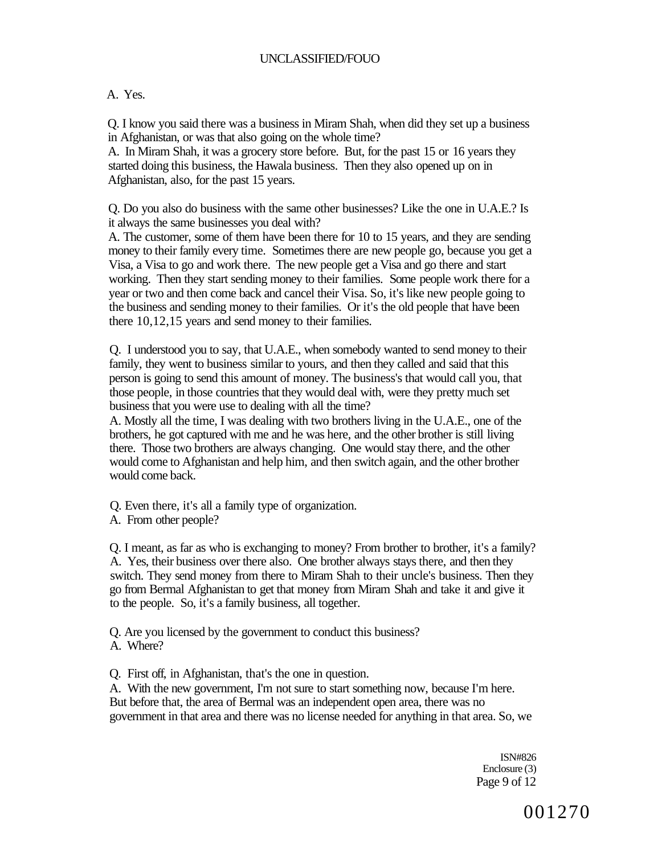## A. Yes.

Q. I know you said there was a business in Miram Shah, when did they set up a business in Afghanistan, or was that also going on the whole time?

A. In Miram Shah, it was a grocery store before. But, for the past 15 or 16 years they started doing this business, the Hawala business. Then they also opened up on in Afghanistan, also, for the past 15 years.

Q. Do you also do business with the same other businesses? Like the one in U.A.E.? Is it always the same businesses you deal with?

A. The customer, some of them have been there for 10 to 15 years, and they are sending money to their family every time. Sometimes there are new people go, because you get a Visa, a Visa to go and work there. The new people get a Visa and go there and start working. Then they start sending money to their families. Some people work there for a year or two and then come back and cancel their Visa. So, it's like new people going to the business and sending money to their families. Or it's the old people that have been there 10,12,15 years and send money to their families.

Q. I understood you to say, that U.A.E., when somebody wanted to send money to their family, they went to business similar to yours, and then they called and said that this person is going to send this amount of money. The business's that would call you, that those people, in those countries that they would deal with, were they pretty much set business that you were use to dealing with all the time?

A. Mostly all the time, I was dealing with two brothers living in the U.A.E., one of the brothers, he got captured with me and he was here, and the other brother is still living there. Those two brothers are always changing. One would stay there, and the other would come to Afghanistan and help him, and then switch again, and the other brother would come back.

Q. Even there, it's all a family type of organization.

A. From other people?

Q. I meant, as far as who is exchanging to money? From brother to brother, it's a family? A. Yes, their business over there also. One brother always stays there, and then they switch. They send money from there to Miram Shah to their uncle's business. Then they go from Bermal Afghanistan to get that money from Miram Shah and take it and give it to the people. So, it's a family business, all together.

Q. Are you licensed by the government to conduct this business? A. Where?

Q. First off, in Afghanistan, that's the one in question.

A. With the new government, I'm not sure to start something now, because I'm here. But before that, the area of Bermal was an independent open area, there was no government in that area and there was no license needed for anything in that area. So, we

> ISN#826 Enclosure (3) Page 9 of 12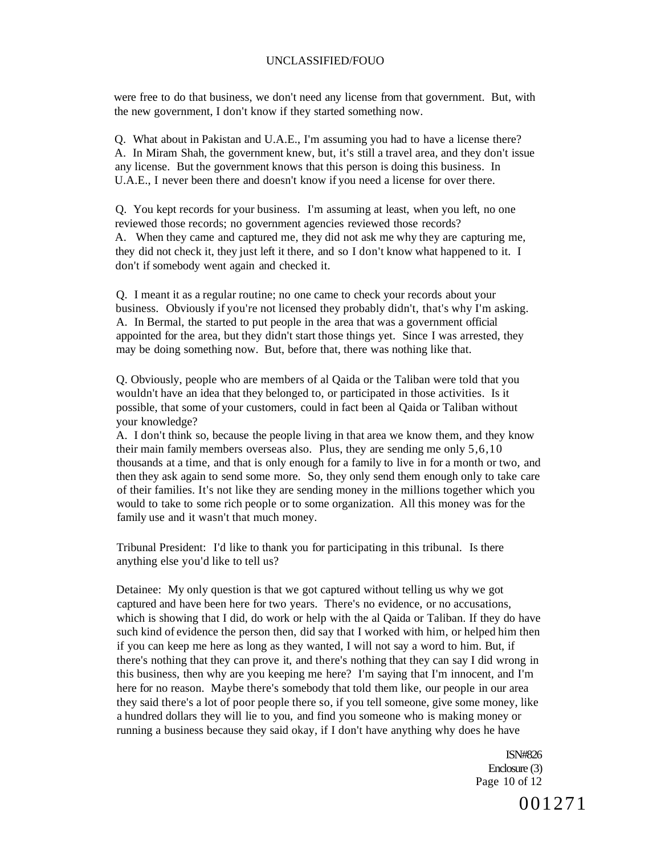were free to do that business, we don't need any license from that government. But, with the new government, I don't know if they started something now.

Q. What about in Pakistan and U.A.E., I'm assuming you had to have a license there? A. In Miram Shah, the government knew, but, it's still a travel area, and they don't issue any license. But the government knows that this person is doing this business. In U.A.E., I never been there and doesn't know if you need a license for over there.

Q. You kept records for your business. I'm assuming at least, when you left, no one reviewed those records; no government agencies reviewed those records? A. When they came and captured me, they did not ask me why they are capturing me, they did not check it, they just left it there, and so I don't know what happened to it. I don't if somebody went again and checked it.

Q. I meant it as a regular routine; no one came to check your records about your business. Obviously if you're not licensed they probably didn't, that's why I'm asking. A. In Bermal, the started to put people in the area that was a government official appointed for the area, but they didn't start those things yet. Since I was arrested, they may be doing something now. But, before that, there was nothing like that.

Q. Obviously, people who are members of al Qaida or the Taliban were told that you wouldn't have an idea that they belonged to, or participated in those activities. Is it possible, that some of your customers, could in fact been al Qaida or Taliban without your knowledge?

A. I don't think so, because the people living in that area we know them, and they know their main family members overseas also. Plus, they are sending me only 5,6,10 thousands at a time, and that is only enough for a family to live in for a month or two, and then they ask again to send some more. So, they only send them enough only to take care of their families. It's not like they are sending money in the millions together which you would to take to some rich people or to some organization. All this money was for the family use and it wasn't that much money.

Tribunal President: I'd like to thank you for participating in this tribunal. Is there anything else you'd like to tell us?

Detainee: My only question is that we got captured without telling us why we got captured and have been here for two years. There's no evidence, or no accusations, which is showing that I did, do work or help with the al Qaida or Taliban. If they do have such kind of evidence the person then, did say that I worked with him, or helped him then if you can keep me here as long as they wanted, I will not say a word to him. But, if there's nothing that they can prove it, and there's nothing that they can say I did wrong in this business, then why are you keeping me here? I'm saying that I'm innocent, and I'm here for no reason. Maybe there's somebody that told them like, our people in our area they said there's a lot of poor people there so, if you tell someone, give some money, like a hundred dollars they will lie to you, and find you someone who is making money or running a business because they said okay, if I don't have anything why does he have

> ISN#826 Enclosure (3) Page 10 of 12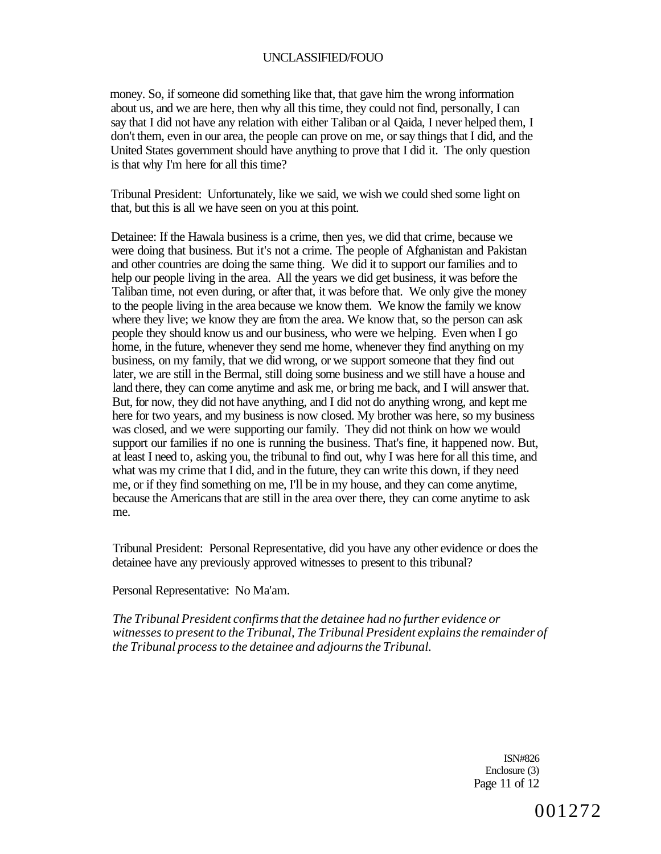money. So, if someone did something like that, that gave him the wrong information about us, and we are here, then why all this time, they could not find, personally, I can say that I did not have any relation with either Taliban or al Qaida, I never helped them, I don't them, even in our area, the people can prove on me, or say things that I did, and the United States government should have anything to prove that I did it. The only question is that why I'm here for all this time?

Tribunal President: Unfortunately, like we said, we wish we could shed some light on that, but this is all we have seen on you at this point.

Detainee: If the Hawala business is a crime, then yes, we did that crime, because we were doing that business. But it's not a crime. The people of Afghanistan and Pakistan and other countries are doing the same thing. We did it to support our families and to help our people living in the area. All the years we did get business, it was before the Taliban time, not even during, or after that, it was before that. We only give the money to the people living in the area because we know them. We know the family we know where they live; we know they are from the area. We know that, so the person can ask people they should know us and our business, who were we helping. Even when I go home, in the future, whenever they send me home, whenever they find anything on my business, on my family, that we did wrong, or we support someone that they find out later, we are still in the Bermal, still doing some business and we still have a house and land there, they can come anytime and ask me, or bring me back, and I will answer that. But, for now, they did not have anything, and I did not do anything wrong, and kept me here for two years, and my business is now closed. My brother was here, so my business was closed, and we were supporting our family. They did not think on how we would support our families if no one is running the business. That's fine, it happened now. But, at least I need to, asking you, the tribunal to find out, why I was here for all this time, and what was my crime that I did, and in the future, they can write this down, if they need me, or if they find something on me, I'll be in my house, and they can come anytime, because the Americans that are still in the area over there, they can come anytime to ask me.

Tribunal President: Personal Representative, did you have any other evidence or does the detainee have any previously approved witnesses to present to this tribunal?

Personal Representative: No Ma'am.

*The Tribunal President confirms that the detainee had no further evidence or witnesses to present to the Tribunal, The Tribunal President explains the remainder of the Tribunal process to the detainee and adjourns the Tribunal.* 

> ISN#826 Enclosure (3) Page 11 of 12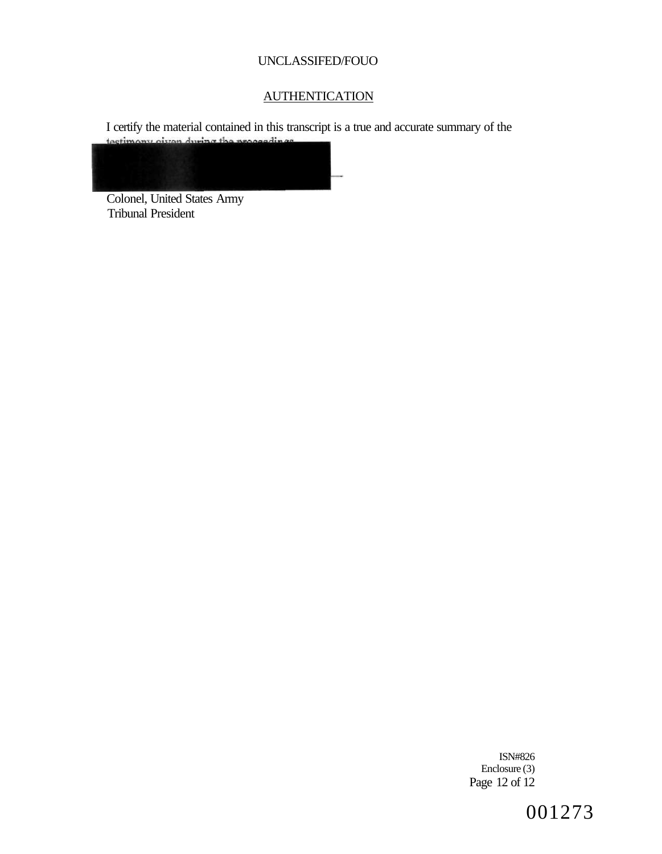# **AUTHENTICATION**

I certify the material contained in this transcript is a true and accurate summary of the testimony oiven during the proceedings



Colonel, United States Army Tribunal President

> ISN#826 Enclosure (3) Page 12 of 12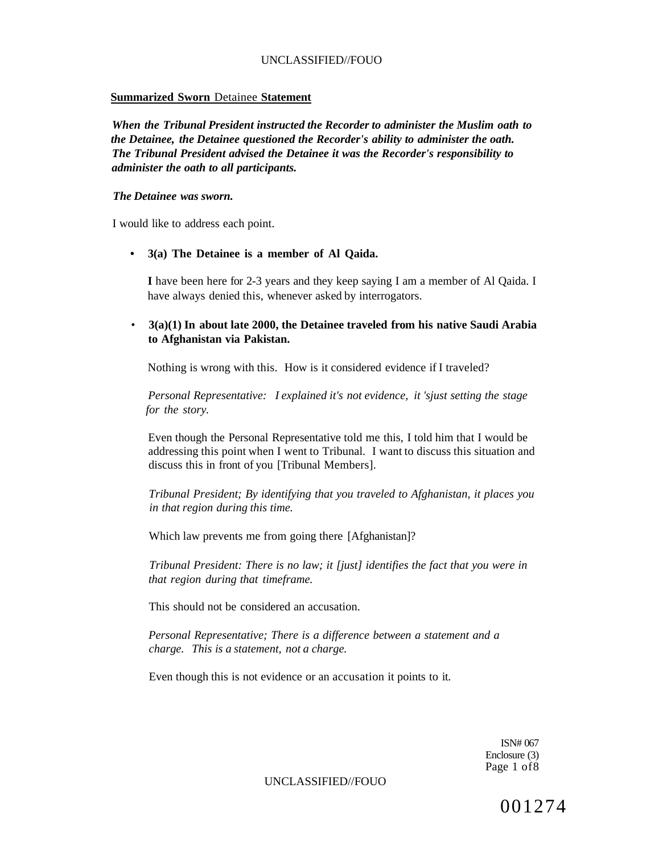#### **Summarized Sworn** Detainee **Statement**

*When the Tribunal President instructed the Recorder to administer the Muslim oath to the Detainee, the Detainee questioned the Recorder's ability to administer the oath. The Tribunal President advised the Detainee it was the Recorder's responsibility to administer the oath to all participants.* 

#### *The Detainee was sworn.*

I would like to address each point.

**• 3(a) The Detainee is a member of Al Qaida.** 

**I** have been here for 2-3 years and they keep saying I am a member of Al Qaida. I have always denied this, whenever asked by interrogators.

• **3(a)(1) In about late 2000, the Detainee traveled from his native Saudi Arabia to Afghanistan via Pakistan.** 

Nothing is wrong with this. How is it considered evidence if I traveled?

*Personal Representative: I explained it's not evidence, it 'sjust setting the stage for the story.* 

Even though the Personal Representative told me this, I told him that I would be addressing this point when I went to Tribunal. I want to discuss this situation and discuss this in front of you [Tribunal Members].

*Tribunal President; By identifying that you traveled to Afghanistan, it places you in that region during this time.* 

Which law prevents me from going there [Afghanistan]?

*Tribunal President: There is no law; it [just] identifies the fact that you were in that region during that timeframe.* 

This should not be considered an accusation.

*Personal Representative; There is a difference between a statement and a charge. This is a statement, not a charge.* 

Even though this is not evidence or an accusation it points to it.

ISN# 067 Enclosure (3) Page 1 of8

UNCLASSIFIED//FOUO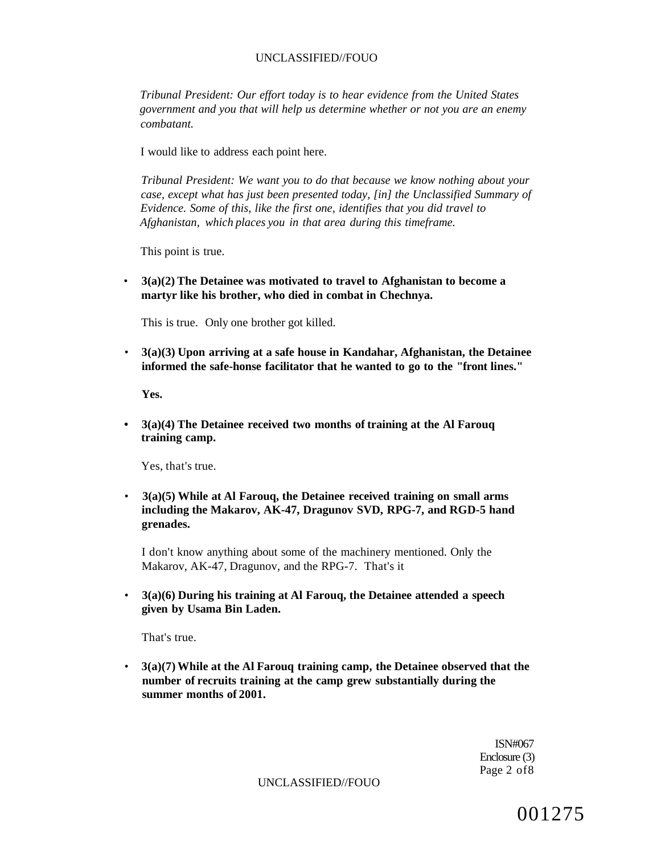*Tribunal President: Our effort today is to hear evidence from the United States government and you that will help us determine whether or not you are an enemy combatant.* 

I would like to address each point here.

*Tribunal President: We want you to do that because we know nothing about your case, except what has just been presented today, [in] the Unclassified Summary of Evidence. Some of this, like the first one, identifies that you did travel to Afghanistan, which places you in that area during this timeframe.* 

This point is true.

• **3(a)(2) The Detainee was motivated to travel to Afghanistan to become a martyr like his brother, who died in combat in Chechnya.** 

This is true. Only one brother got killed.

• **3(a)(3) Upon arriving at a safe house in Kandahar, Afghanistan, the Detainee informed the safe-honse facilitator that he wanted to go to the "front lines."** 

**Yes.** 

**• 3(a)(4) The Detainee received two months of training at the Al Farouq training camp.** 

Yes, that's true.

• **3(a)(5) While at Al Farouq, the Detainee received training on small arms including the Makarov, AK-47, Dragunov SVD, RPG-7, and RGD-5 hand grenades.** 

I don't know anything about some of the machinery mentioned. Only the Makarov, AK-47, Dragunov, and the RPG-7. That's it

• **3(a)(6) During his training at Al Farouq, the Detainee attended a speech given by Usama Bin Laden.** 

That's true.

• **3(a)(7) While at the Al Farouq training camp, the Detainee observed that the number of recruits training at the camp grew substantially during the summer months of 2001.** 

> ISN#067 Enclosure (3) Page 2 of8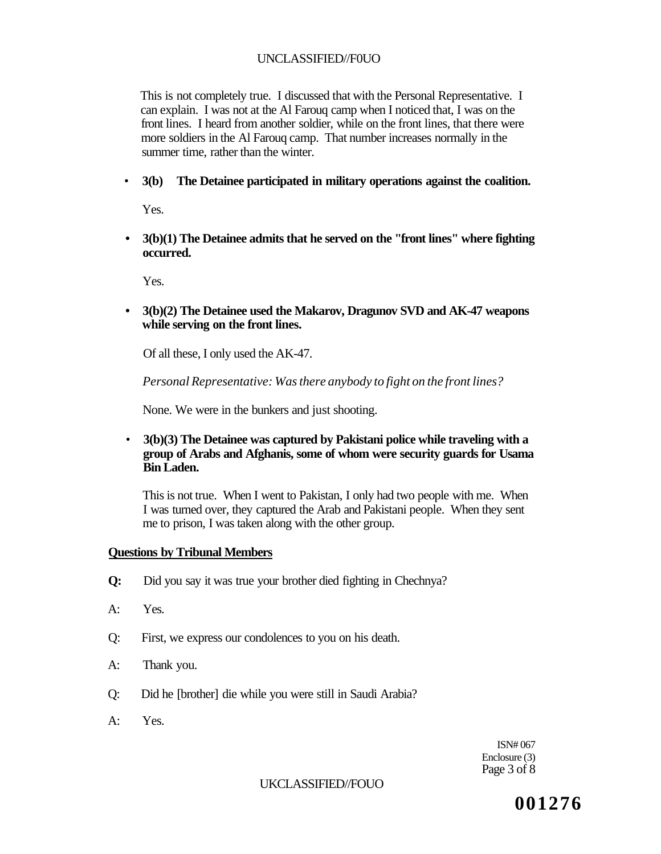This is not completely true. I discussed that with the Personal Representative. I can explain. I was not at the Al Farouq camp when I noticed that, I was on the front lines. I heard from another soldier, while on the front lines, that there were more soldiers in the Al Farouq camp. That number increases normally in the summer time, rather than the winter.

• **3(b) The Detainee participated in military operations against the coalition.** 

Yes.

**• 3(b)(1) The Detainee admits that he served on the "front lines" where fighting occurred.** 

Yes.

**• 3(b)(2) The Detainee used the Makarov, Dragunov SVD and AK-47 weapons while serving on the front lines.** 

Of all these, I only used the AK-47.

*Personal Representative: Was there anybody to fight on the front lines?* 

None. We were in the bunkers and just shooting.

• **3(b)(3) The Detainee was captured by Pakistani police while traveling with a group of Arabs and Afghanis, some of whom were security guards for Usama Bin Laden.** 

This is not true. When I went to Pakistan, I only had two people with me. When I was turned over, they captured the Arab and Pakistani people. When they sent me to prison, I was taken along with the other group.

## **Questions by Tribunal Members**

- **Q:** Did you say it was true your brother died fighting in Chechnya?
- A: Yes.
- Q: First, we express our condolences to you on his death.
- A: Thank you.
- Q: Did he [brother] die while you were still in Saudi Arabia?
- A: Yes.

ISN# 067 Enclosure (3) Page 3 of 8

### UKCLASSIFIED//FOUO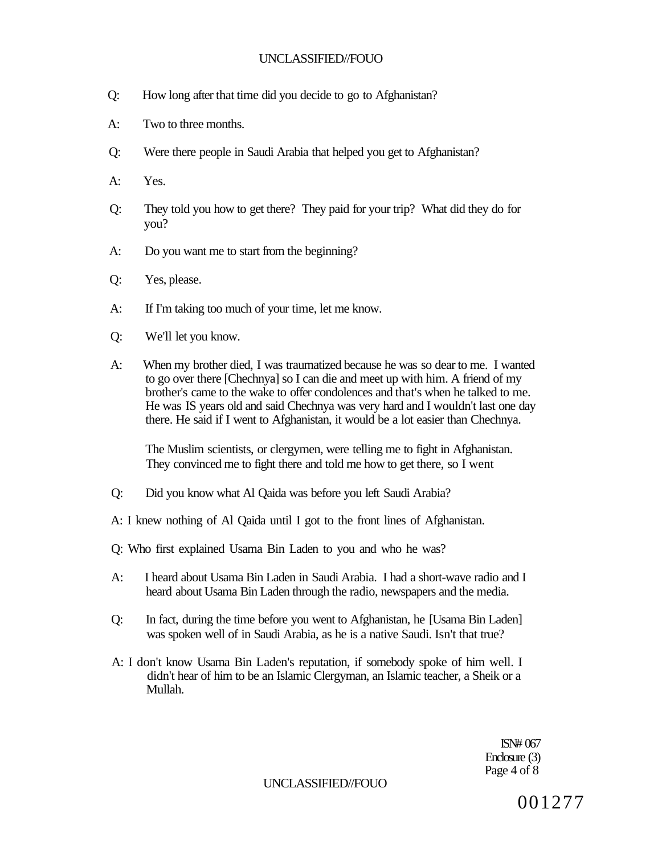- Q: How long after that time did you decide to go to Afghanistan?
- A: Two to three months.
- Q: Were there people in Saudi Arabia that helped you get to Afghanistan?
- A: Yes.
- Q: They told you how to get there? They paid for your trip? What did they do for you?
- A: Do you want me to start from the beginning?
- Q: Yes, please.
- A: If I'm taking too much of your time, let me know.
- Q: We'll let you know.
- A: When my brother died, I was traumatized because he was so dear to me. I wanted to go over there [Chechnya] so I can die and meet up with him. A friend of my brother's came to the wake to offer condolences and that's when he talked to me. He was IS years old and said Chechnya was very hard and I wouldn't last one day there. He said if I went to Afghanistan, it would be a lot easier than Chechnya.

The Muslim scientists, or clergymen, were telling me to fight in Afghanistan. They convinced me to fight there and told me how to get there, so I went

- Q: Did you know what Al Qaida was before you left Saudi Arabia?
- A: I knew nothing of Al Qaida until I got to the front lines of Afghanistan.
- Q: Who first explained Usama Bin Laden to you and who he was?
- A: I heard about Usama Bin Laden in Saudi Arabia. I had a short-wave radio and I heard about Usama Bin Laden through the radio, newspapers and the media.
- Q: In fact, during the time before you went to Afghanistan, he [Usama Bin Laden] was spoken well of in Saudi Arabia, as he is a native Saudi. Isn't that true?
- A: I don't know Usama Bin Laden's reputation, if somebody spoke of him well. I didn't hear of him to be an Islamic Clergyman, an Islamic teacher, a Sheik or a Mullah.

ISN# 067 Enclosure (3) Page 4 of 8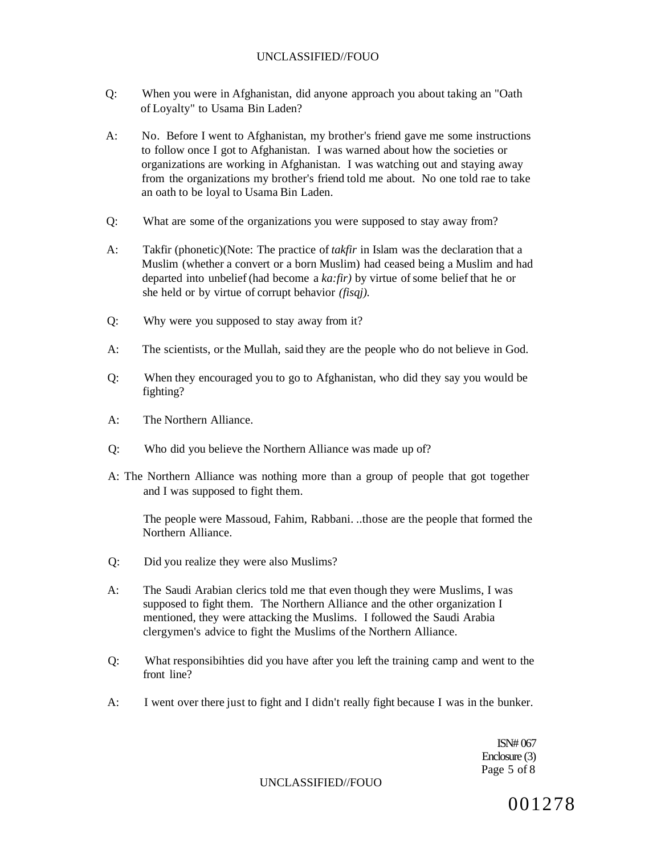- Q: When you were in Afghanistan, did anyone approach you about taking an "Oath of Loyalty" to Usama Bin Laden?
- A: No. Before I went to Afghanistan, my brother's friend gave me some instructions to follow once I got to Afghanistan. I was warned about how the societies or organizations are working in Afghanistan. I was watching out and staying away from the organizations my brother's friend told me about. No one told rae to take an oath to be loyal to Usama Bin Laden.
- Q: What are some of the organizations you were supposed to stay away from?
- A: Takfir (phonetic)(Note: The practice of *takfir* in Islam was the declaration that a Muslim (whether a convert or a born Muslim) had ceased being a Muslim and had departed into unbelief (had become a *ka:fir)* by virtue of some belief that he or she held or by virtue of corrupt behavior *(fisqj).*
- Q: Why were you supposed to stay away from it?
- A: The scientists, or the Mullah, said they are the people who do not believe in God.
- Q: When they encouraged you to go to Afghanistan, who did they say you would be fighting?
- A: The Northern Alliance.
- Q: Who did you believe the Northern Alliance was made up of?
- A: The Northern Alliance was nothing more than a group of people that got together and I was supposed to fight them.

The people were Massoud, Fahim, Rabbani. ..those are the people that formed the Northern Alliance.

- Q: Did you realize they were also Muslims?
- A: The Saudi Arabian clerics told me that even though they were Muslims, I was supposed to fight them. The Northern Alliance and the other organization I mentioned, they were attacking the Muslims. I followed the Saudi Arabia clergymen's advice to fight the Muslims of the Northern Alliance.
- Q: What responsibihties did you have after you left the training camp and went to the front line?
- A: I went over there just to fight and I didn't really fight because I was in the bunker.

ISN# 067 Enclosure (3) Page 5 of 8

UNCLASSIFIED//FOUO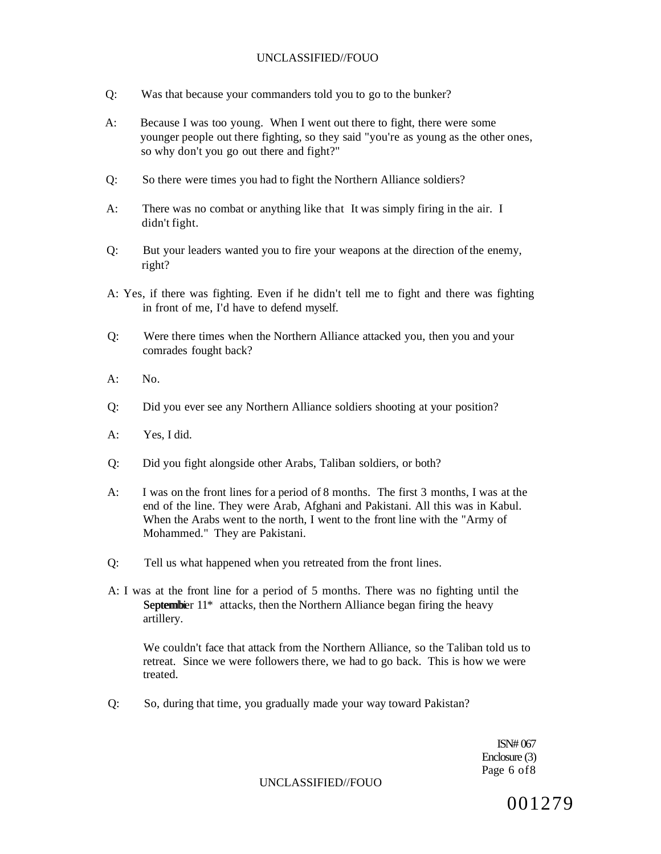- Q: Was that because your commanders told you to go to the bunker?
- A: Because I was too young. When I went out there to fight, there were some younger people out there fighting, so they said "you're as young as the other ones, so why don't you go out there and fight?"
- Q: So there were times you had to fight the Northern Alliance soldiers?
- A: There was no combat or anything like that It was simply firing in the air. I didn't fight.
- Q: But your leaders wanted you to fire your weapons at the direction of the enemy, right?
- A: Yes, if there was fighting. Even if he didn't tell me to fight and there was fighting in front of me, I'd have to defend myself.
- Q: Were there times when the Northern Alliance attacked you, then you and your comrades fought back?
- $A:$  No.
- Q: Did you ever see any Northern Alliance soldiers shooting at your position?
- A: Yes, I did.
- Q: Did you fight alongside other Arabs, Taliban soldiers, or both?
- A: I was on the front lines for a period of 8 months. The first 3 months, I was at the end of the line. They were Arab, Afghani and Pakistani. All this was in Kabul. When the Arabs went to the north, I went to the front line with the "Army of Mohammed." They are Pakistani.
- Q: Tell us what happened when you retreated from the front lines.
- A: I was at the front line for a period of 5 months. There was no fighting until the Septembier 11<sup>\*</sup> attacks, then the Northern Alliance began firing the heavy artillery.

We couldn't face that attack from the Northern Alliance, so the Taliban told us to retreat. Since we were followers there, we had to go back. This is how we were treated.

Q: So, during that time, you gradually made your way toward Pakistan?

ISN# 067 Enclosure (3) Page 6 of8

UNCLASSIFIED//FOUO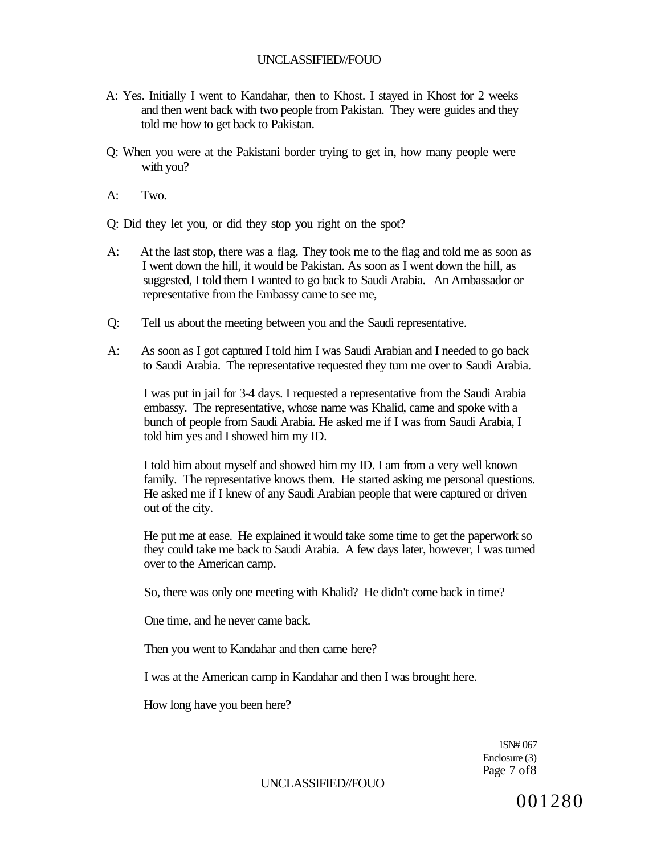- A: Yes. Initially I went to Kandahar, then to Khost. I stayed in Khost for 2 weeks and then went back with two people from Pakistan. They were guides and they told me how to get back to Pakistan.
- Q: When you were at the Pakistani border trying to get in, how many people were with you?
- A: Two.

Q: Did they let you, or did they stop you right on the spot?

- A: At the last stop, there was a flag. They took me to the flag and told me as soon as I went down the hill, it would be Pakistan. As soon as I went down the hill, as suggested, I told them I wanted to go back to Saudi Arabia. An Ambassador or representative from the Embassy came to see me,
- Q: Tell us about the meeting between you and the Saudi representative.
- A: As soon as I got captured I told him I was Saudi Arabian and I needed to go back to Saudi Arabia. The representative requested they turn me over to Saudi Arabia.

I was put in jail for 3-4 days. I requested a representative from the Saudi Arabia embassy. The representative, whose name was Khalid, came and spoke with a bunch of people from Saudi Arabia. He asked me if I was from Saudi Arabia, I told him yes and I showed him my ID.

I told him about myself and showed him my ID. I am from a very well known family. The representative knows them. He started asking me personal questions. He asked me if I knew of any Saudi Arabian people that were captured or driven out of the city.

He put me at ease. He explained it would take some time to get the paperwork so they could take me back to Saudi Arabia. A few days later, however, I was turned over to the American camp.

So, there was only one meeting with Khalid? He didn't come back in time?

One time, and he never came back.

Then you went to Kandahar and then came here?

I was at the American camp in Kandahar and then I was brought here.

How long have you been here?

1SN# 067 Enclosure (3) Page 7 of8

UNCLASSIFIED//FOUO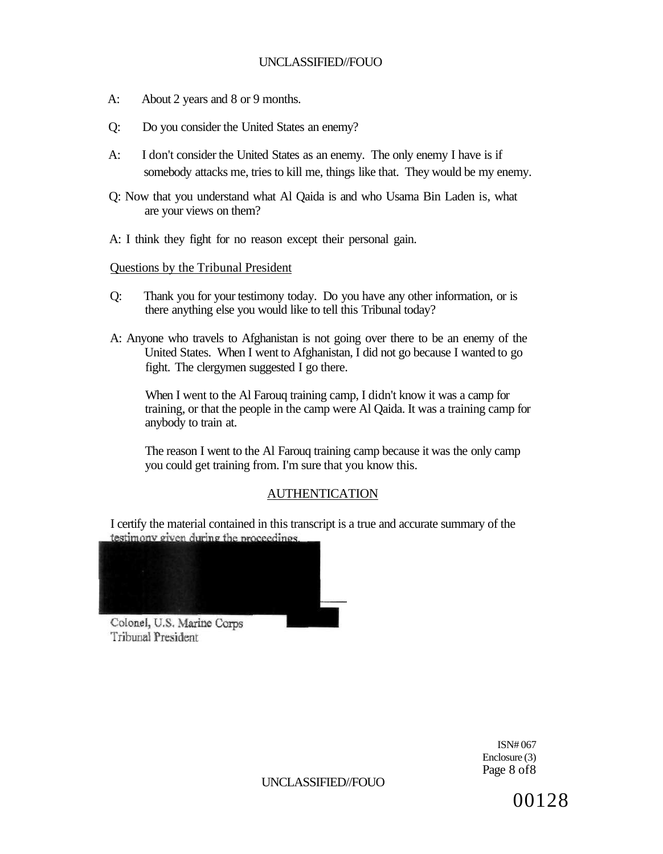- A: About 2 years and 8 or 9 months.
- Q: Do you consider the United States an enemy?
- A: I don't consider the United States as an enemy. The only enemy I have is if somebody attacks me, tries to kill me, things like that. They would be my enemy.
- Q: Now that you understand what Al Qaida is and who Usama Bin Laden is, what are your views on them?
- A: I think they fight for no reason except their personal gain.

#### Questions by the Tribunal President

- Q: Thank you for your testimony today. Do you have any other information, or is there anything else you would like to tell this Tribunal today?
- A: Anyone who travels to Afghanistan is not going over there to be an enemy of the United States. When I went to Afghanistan, I did not go because I wanted to go fight. The clergymen suggested I go there.

When I went to the Al Farouq training camp, I didn't know it was a camp for training, or that the people in the camp were Al Qaida. It was a training camp for anybody to train at.

The reason I went to the Al Farouq training camp because it was the only camp you could get training from. I'm sure that you know this.

## AUTHENTICATION

I certify the material contained in this transcript is a true and accurate summary of the testimony given during the proceedings.



Colonel, U.S. Marine Corps Tribunal President

> ISN# 067 Enclosure (3) Page 8 of8

UNCLASSIFIED//FOUO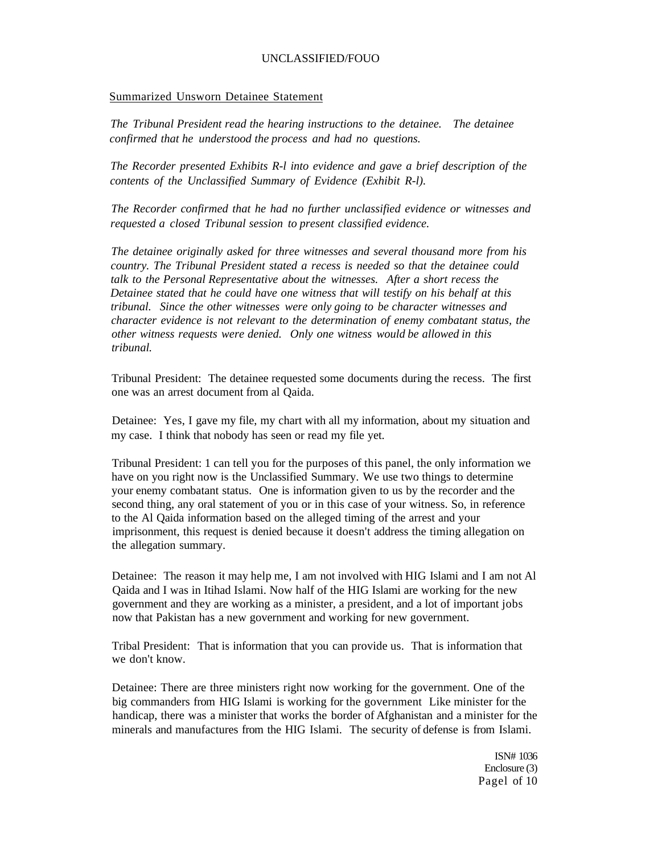#### Summarized Unsworn Detainee Statement

*The Tribunal President read the hearing instructions to the detainee. The detainee confirmed that he understood the process and had no questions.* 

*The Recorder presented Exhibits R-l into evidence and gave a brief description of the contents of the Unclassified Summary of Evidence (Exhibit R-l).* 

*The Recorder confirmed that he had no further unclassified evidence or witnesses and requested a closed Tribunal session to present classified evidence.* 

*The detainee originally asked for three witnesses and several thousand more from his country. The Tribunal President stated a recess is needed so that the detainee could talk to the Personal Representative about the witnesses. After a short recess the Detainee stated that he could have one witness that will testify on his behalf at this tribunal. Since the other witnesses were only going to be character witnesses and character evidence is not relevant to the determination of enemy combatant status, the other witness requests were denied. Only one witness would be allowed in this tribunal.* 

Tribunal President: The detainee requested some documents during the recess. The first one was an arrest document from al Qaida.

Detainee: Yes, I gave my file, my chart with all my information, about my situation and my case. I think that nobody has seen or read my file yet.

Tribunal President: 1 can tell you for the purposes of this panel, the only information we have on you right now is the Unclassified Summary. We use two things to determine your enemy combatant status. One is information given to us by the recorder and the second thing, any oral statement of you or in this case of your witness. So, in reference to the Al Qaida information based on the alleged timing of the arrest and your imprisonment, this request is denied because it doesn't address the timing allegation on the allegation summary.

Detainee: The reason it may help me, I am not involved with HIG Islami and I am not Al Qaida and I was in Itihad Islami. Now half of the HIG Islami are working for the new government and they are working as a minister, a president, and a lot of important jobs now that Pakistan has a new government and working for new government.

Tribal President: That is information that you can provide us. That is information that we don't know.

Detainee: There are three ministers right now working for the government. One of the big commanders from HIG Islami is working for the government Like minister for the handicap, there was a minister that works the border of Afghanistan and a minister for the minerals and manufactures from the HIG Islami. The security of defense is from Islami.

> ISN# 1036 Enclosure (3) Pagel of 10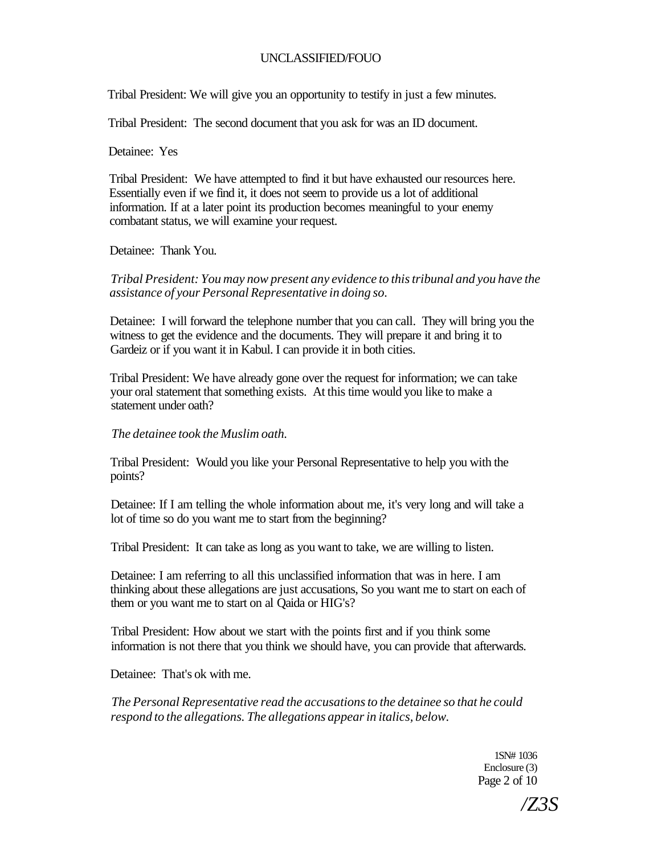Tribal President: We will give you an opportunity to testify in just a few minutes.

Tribal President: The second document that you ask for was an ID document.

Detainee: Yes

Tribal President: We have attempted to find it but have exhausted our resources here. Essentially even if we find it, it does not seem to provide us a lot of additional information. If at a later point its production becomes meaningful to your enemy combatant status, we will examine your request.

Detainee: Thank You.

*Tribal President: You may now present any evidence to this tribunal and you have the assistance of your Personal Representative in doing so.* 

Detainee: I will forward the telephone number that you can call. They will bring you the witness to get the evidence and the documents. They will prepare it and bring it to Gardeiz or if you want it in Kabul. I can provide it in both cities.

Tribal President: We have already gone over the request for information; we can take your oral statement that something exists. At this time would you like to make a statement under oath?

### *The detainee took the Muslim oath.*

Tribal President: Would you like your Personal Representative to help you with the points?

Detainee: If I am telling the whole information about me, it's very long and will take a lot of time so do you want me to start from the beginning?

Tribal President: It can take as long as you want to take, we are willing to listen.

Detainee: I am referring to all this unclassified information that was in here. I am thinking about these allegations are just accusations, So you want me to start on each of them or you want me to start on al Qaida or HIG's?

Tribal President: How about we start with the points first and if you think some information is not there that you think we should have, you can provide that afterwards.

Detainee: That's ok with me.

*The Personal Representative read the accusations to the detainee so that he could respond to the allegations. The allegations appear in italics, below.* 

> 1SN# 1036 Enclosure (3) Page 2 of 10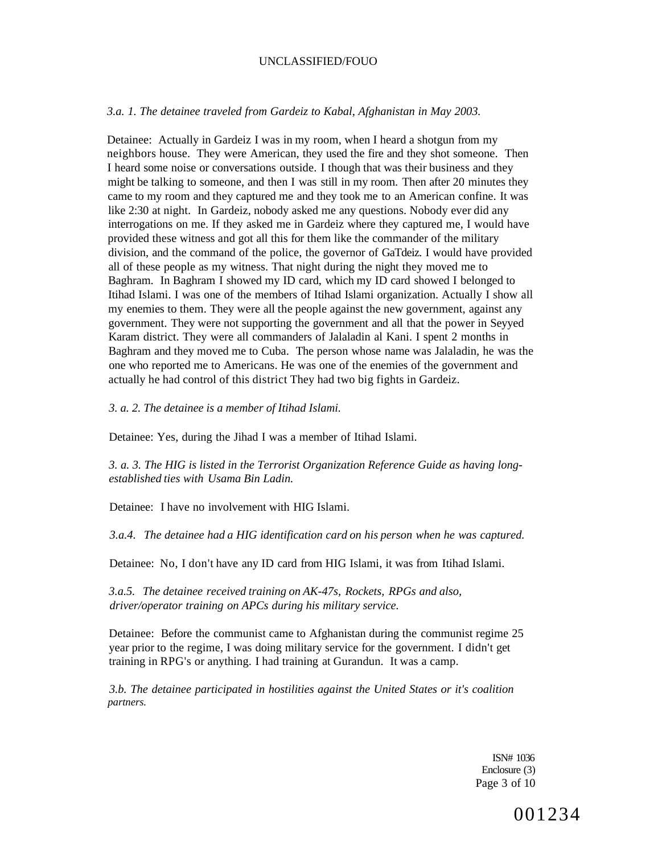#### *3.a. 1. The detainee traveled from Gardeiz to Kabal, Afghanistan in May 2003.*

Detainee: Actually in Gardeiz I was in my room, when I heard a shotgun from my neighbors house. They were American, they used the fire and they shot someone. Then I heard some noise or conversations outside. I though that was their business and they might be talking to someone, and then I was still in my room. Then after 20 minutes they came to my room and they captured me and they took me to an American confine. It was like 2:30 at night. In Gardeiz, nobody asked me any questions. Nobody ever did any interrogations on me. If they asked me in Gardeiz where they captured me, I would have provided these witness and got all this for them like the commander of the military division, and the command of the police, the governor of GaTdeiz. I would have provided all of these people as my witness. That night during the night they moved me to Baghram. In Baghram I showed my ID card, which my ID card showed I belonged to Itihad Islami. I was one of the members of Itihad Islami organization. Actually I show all my enemies to them. They were all the people against the new government, against any government. They were not supporting the government and all that the power in Seyyed Karam district. They were all commanders of Jalaladin al Kani. I spent 2 months in Baghram and they moved me to Cuba. The person whose name was Jalaladin, he was the one who reported me to Americans. He was one of the enemies of the government and actually he had control of this district They had two big fights in Gardeiz.

*3. a. 2. The detainee is a member of Itihad Islami.* 

Detainee: Yes, during the Jihad I was a member of Itihad Islami.

*3. a. 3. The HIG is listed in the Terrorist Organization Reference Guide as having longestablished ties with Usama Bin Ladin.* 

Detainee: I have no involvement with HIG Islami

*3.a.4. The detainee had a HIG identification card on his person when he was captured.* 

Detainee: No, I don't have any ID card from HIG Islami, it was from Itihad Islami.

*3.a.5. The detainee received training on AK-47s, Rockets, RPGs and also, driver/operator training on APCs during his military service.* 

Detainee: Before the communist came to Afghanistan during the communist regime 25 year prior to the regime, I was doing military service for the government. I didn't get training in RPG's or anything. I had training at Gurandun. It was a camp.

*3.b. The detainee participated in hostilities against the United States or it's coalition partners.* 

> ISN# 1036 Enclosure (3) Page 3 of 10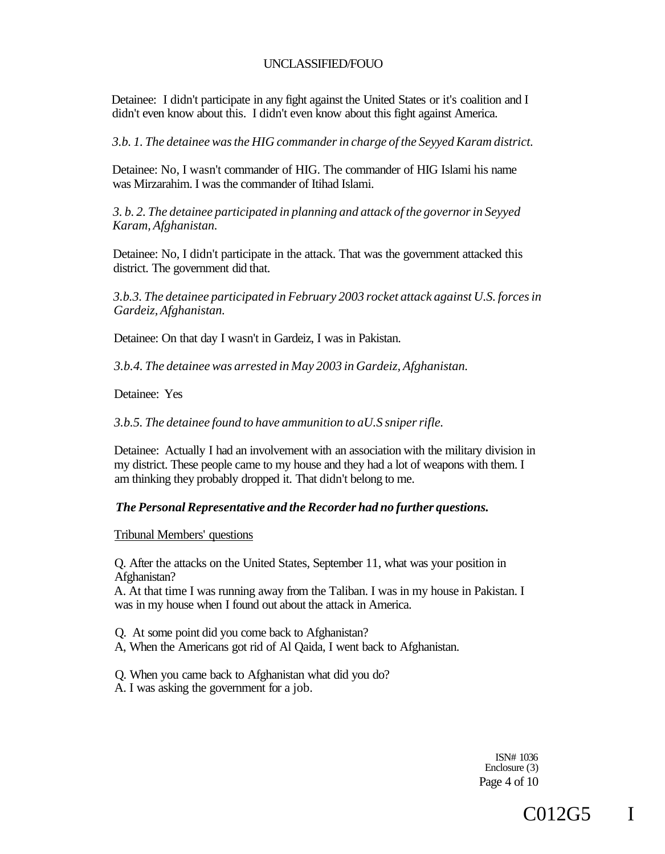Detainee: I didn't participate in any fight against the United States or it's coalition and I didn't even know about this. I didn't even know about this fight against America.

*3.b. 1. The detainee was the HIG commander in charge of the Seyyed Karam district.* 

Detainee: No, I wasn't commander of HIG. The commander of HIG Islami his name was Mirzarahim. I was the commander of Itihad Islami.

*3. b. 2. The detainee participated in planning and attack of the governor in Seyyed Karam, Afghanistan.* 

Detainee: No, I didn't participate in the attack. That was the government attacked this district. The government did that.

*3.b.3. The detainee participated in February 2003 rocket attack against U.S. forces in Gardeiz, Afghanistan.* 

Detainee: On that day I wasn't in Gardeiz, I was in Pakistan.

*3.b.4. The detainee was arrested in May 2003 in Gardeiz, Afghanistan.* 

Detainee: Yes

*3.b.5. The detainee found to have ammunition to aU.S sniper rifle.* 

Detainee: Actually I had an involvement with an association with the military division in my district. These people came to my house and they had a lot of weapons with them. I am thinking they probably dropped it. That didn't belong to me.

### *The Personal Representative and the Recorder had no further questions.*

Tribunal Members' questions

Q. After the attacks on the United States, September 11, what was your position in Afghanistan?

A. At that time I was running away from the Taliban. I was in my house in Pakistan. I was in my house when I found out about the attack in America.

Q. At some point did you come back to Afghanistan?

A, When the Americans got rid of Al Qaida, I went back to Afghanistan.

Q. When you came back to Afghanistan what did you do? A. I was asking the government for a job.

> ISN# 1036 Enclosure (3) Page 4 of 10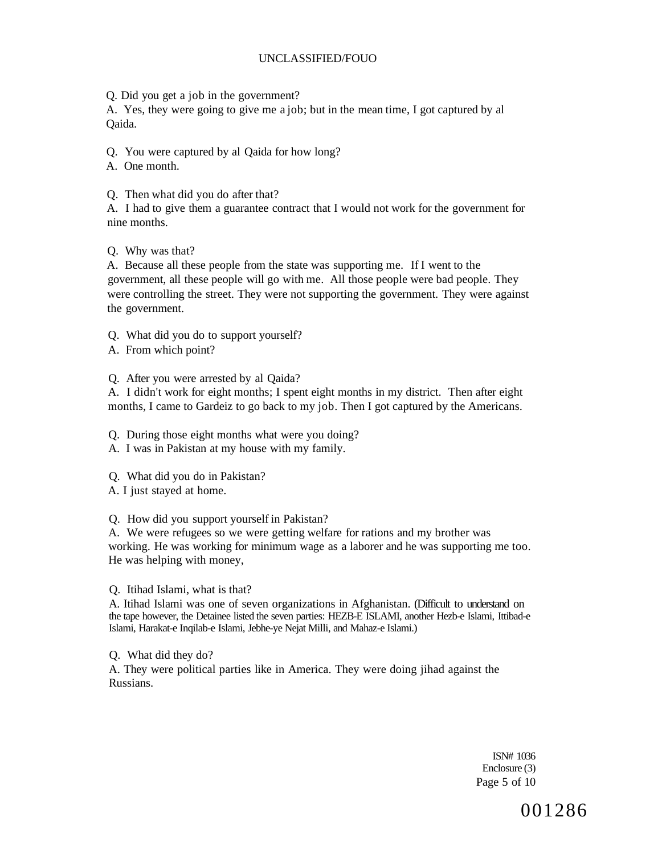Q. Did you get a job in the government?

A. Yes, they were going to give me a job; but in the mean time, I got captured by al Qaida.

Q. You were captured by al Qaida for how long?

A. One month.

Q. Then what did you do after that?

A. I had to give them a guarantee contract that I would not work for the government for nine months.

Q. Why was that?

A. Because all these people from the state was supporting me. If I went to the government, all these people will go with me. All those people were bad people. They were controlling the street. They were not supporting the government. They were against the government.

Q. What did you do to support yourself?

A. From which point?

Q. After you were arrested by al Qaida?

A. I didn't work for eight months; I spent eight months in my district. Then after eight months, I came to Gardeiz to go back to my job. Then I got captured by the Americans.

Q. During those eight months what were you doing?

A. I was in Pakistan at my house with my family.

Q. What did you do in Pakistan?

A. I just stayed at home.

Q. How did you support yourself in Pakistan?

A. We were refugees so we were getting welfare for rations and my brother was working. He was working for minimum wage as a laborer and he was supporting me too. He was helping with money,

Q. Itihad Islami, what is that?

A. Itihad Islami was one of seven organizations in Afghanistan. (Difficult to understand on the tape however, the Detainee listed the seven parties: HEZB-E ISLAMI, another Hezb-e Islami, Ittibad-e Islami, Harakat-e Inqilab-e Islami, Jebhe-ye Nejat Milli, and Mahaz-e Islami.)

Q. What did they do?

A. They were political parties like in America. They were doing jihad against the Russians.

> ISN# 1036 Enclosure (3) Page 5 of 10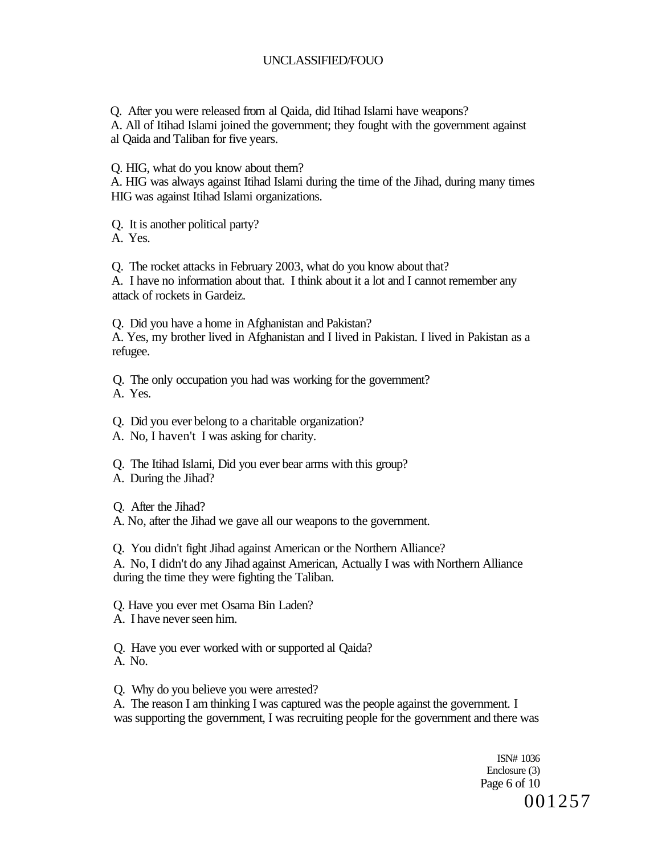Q. After you were released from al Qaida, did Itihad Islami have weapons?

A. All of Itihad Islami joined the government; they fought with the government against al Qaida and Taliban for five years.

Q. HIG, what do you know about them?

A. HIG was always against Itihad Islami during the time of the Jihad, during many times HIG was against Itihad Islami organizations.

Q. It is another political party?

A. Yes.

Q. The rocket attacks in February 2003, what do you know about that?

A. I have no information about that. I think about it a lot and I cannot remember any attack of rockets in Gardeiz.

Q. Did you have a home in Afghanistan and Pakistan? A. Yes, my brother lived in Afghanistan and I lived in Pakistan. I lived in Pakistan as a refugee.

Q. The only occupation you had was working for the government? A. Yes.

Q. Did you ever belong to a charitable organization?

A. No, I haven't I was asking for charity.

Q. The Itihad Islami, Did you ever bear arms with this group?

A. During the Jihad?

Q. After the Jihad?

A. No, after the Jihad we gave all our weapons to the government.

Q. You didn't fight Jihad against American or the Northern Alliance?

A. No, I didn't do any Jihad against American, Actually I was with Northern Alliance during the time they were fighting the Taliban.

Q. Have you ever met Osama Bin Laden?

A. I have never seen him.

Q. Have you ever worked with or supported al Qaida? A. No.

Q. Why do you believe you were arrested?

A. The reason I am thinking I was captured was the people against the government. I was supporting the government, I was recruiting people for the government and there was

> ISN# 1036 Enclosure (3) Page 6 of 10 001257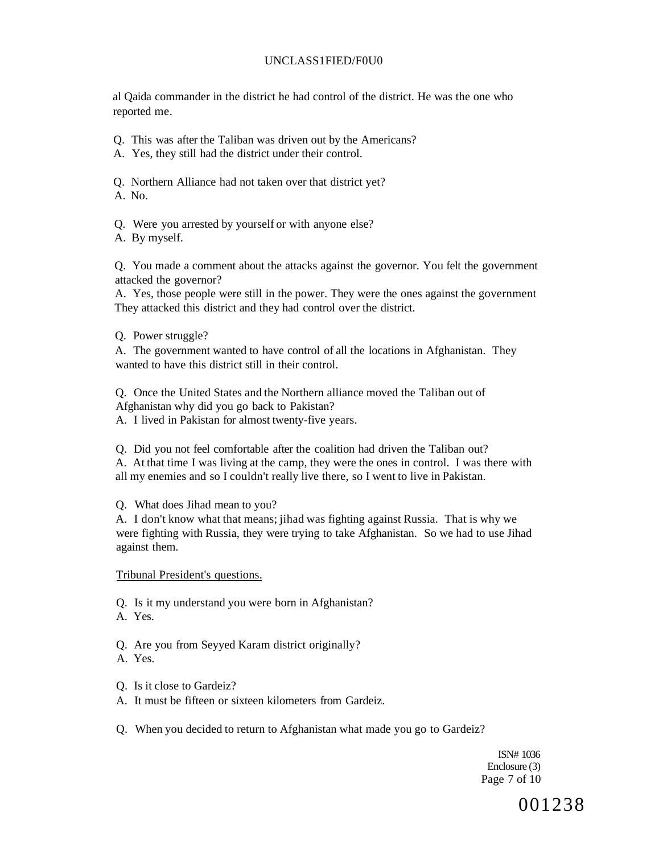## UNCLASS1FIED/F0U0

al Qaida commander in the district he had control of the district. He was the one who reported me.

- Q. This was after the Taliban was driven out by the Americans?
- A. Yes, they still had the district under their control.
- Q. Northern Alliance had not taken over that district yet?

A. No.

Q. Were you arrested by yourself or with anyone else?

A. By myself.

Q. You made a comment about the attacks against the governor. You felt the government attacked the governor?

A. Yes, those people were still in the power. They were the ones against the government They attacked this district and they had control over the district.

Q. Power struggle?

A. The government wanted to have control of all the locations in Afghanistan. They wanted to have this district still in their control.

Q. Once the United States and the Northern alliance moved the Taliban out of Afghanistan why did you go back to Pakistan?

A. I lived in Pakistan for almost twenty-five years.

Q. Did you not feel comfortable after the coalition had driven the Taliban out? A. At that time I was living at the camp, they were the ones in control. I was there with all my enemies and so I couldn't really live there, so I went to live in Pakistan.

Q. What does Jihad mean to you?

A. I don't know what that means; jihad was fighting against Russia. That is why we were fighting with Russia, they were trying to take Afghanistan. So we had to use Jihad against them.

Tribunal President's questions.

Q. Is it my understand you were born in Afghanistan?

- A. Yes.
- Q. Are you from Seyyed Karam district originally?
- A. Yes.
- Q. Is it close to Gardeiz?
- A. It must be fifteen or sixteen kilometers from Gardeiz.
- Q. When you decided to return to Afghanistan what made you go to Gardeiz?

ISN# 1036 Enclosure (3) Page 7 of 10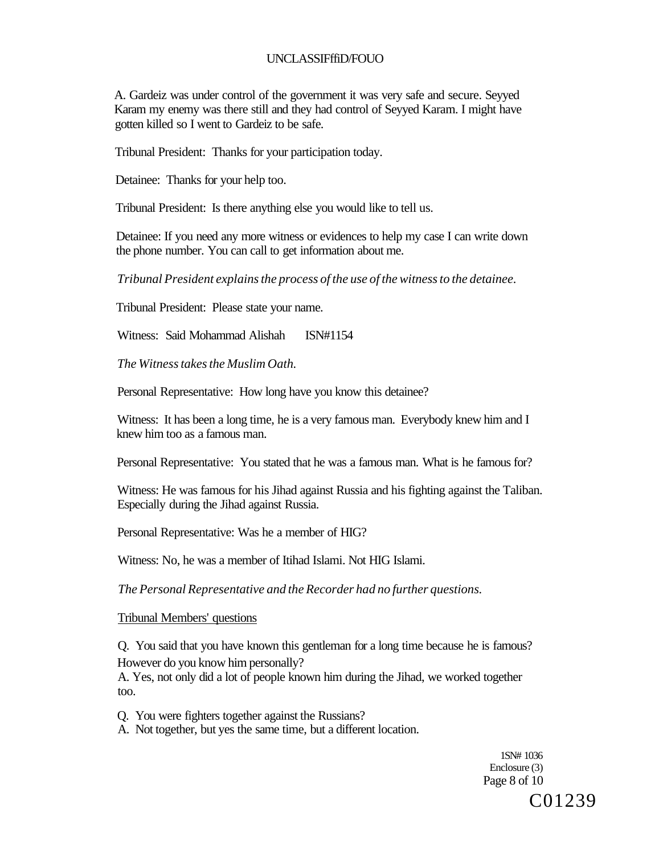## UNCLASSIFffiD/FOUO

A. Gardeiz was under control of the government it was very safe and secure. Seyyed Karam my enemy was there still and they had control of Seyyed Karam. I might have gotten killed so I went to Gardeiz to be safe.

Tribunal President: Thanks for your participation today.

Detainee: Thanks for your help too.

Tribunal President: Is there anything else you would like to tell us.

Detainee: If you need any more witness or evidences to help my case I can write down the phone number. You can call to get information about me.

*Tribunal President explains the process of the use of the witness to the detainee.* 

Tribunal President: Please state your name.

Witness: Said Mohammad Alishah ISN#1154

*The Witness takes the Muslim Oath.* 

Personal Representative: How long have you know this detainee?

Witness: It has been a long time, he is a very famous man. Everybody knew him and I knew him too as a famous man.

Personal Representative: You stated that he was a famous man. What is he famous for?

Witness: He was famous for his Jihad against Russia and his fighting against the Taliban. Especially during the Jihad against Russia.

Personal Representative: Was he a member of HIG?

Witness: No, he was a member of Itihad Islami. Not HIG Islami.

*The Personal Representative and the Recorder had no further questions.* 

#### Tribunal Members' questions

Q. You said that you have known this gentleman for a long time because he is famous? However do you know him personally?

A. Yes, not only did a lot of people known him during the Jihad, we worked together too.

Q. You were fighters together against the Russians?

A. Not together, but yes the same time, but a different location.

1SN# 1036 Enclosure (3) Page 8 of 10 C01239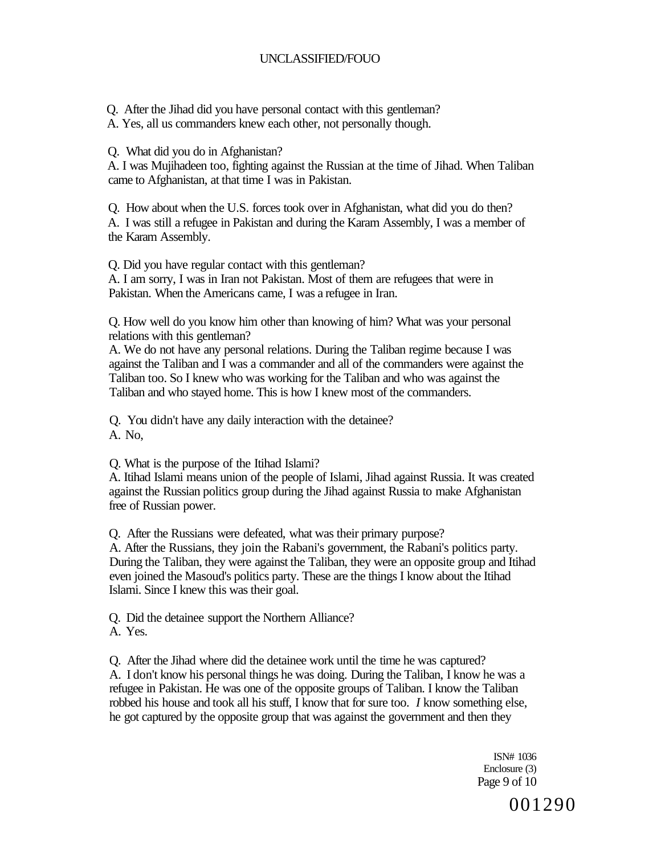Q. After the Jihad did you have personal contact with this gentleman?

A. Yes, all us commanders knew each other, not personally though.

Q. What did you do in Afghanistan?

A. I was Mujihadeen too, fighting against the Russian at the time of Jihad. When Taliban came to Afghanistan, at that time I was in Pakistan.

Q. How about when the U.S. forces took over in Afghanistan, what did you do then? A. I was still a refugee in Pakistan and during the Karam Assembly, I was a member of the Karam Assembly.

Q. Did you have regular contact with this gentleman?

A. I am sorry, I was in Iran not Pakistan. Most of them are refugees that were in Pakistan. When the Americans came, I was a refugee in Iran.

Q. How well do you know him other than knowing of him? What was your personal relations with this gentleman?

A. We do not have any personal relations. During the Taliban regime because I was against the Taliban and I was a commander and all of the commanders were against the Taliban too. So I knew who was working for the Taliban and who was against the Taliban and who stayed home. This is how I knew most of the commanders.

Q. You didn't have any daily interaction with the detainee? A. No,

Q. What is the purpose of the Itihad Islami?

A. Itihad Islami means union of the people of Islami, Jihad against Russia. It was created against the Russian politics group during the Jihad against Russia to make Afghanistan free of Russian power.

Q. After the Russians were defeated, what was their primary purpose?

A. After the Russians, they join the Rabani's government, the Rabani's politics party. During the Taliban, they were against the Taliban, they were an opposite group and Itihad even joined the Masoud's politics party. These are the things I know about the Itihad Islami. Since I knew this was their goal.

Q. Did the detainee support the Northern Alliance? A. Yes.

Q. After the Jihad where did the detainee work until the time he was captured? A. I don't know his personal things he was doing. During the Taliban, I know he was a refugee in Pakistan. He was one of the opposite groups of Taliban. I know the Taliban robbed his house and took all his stuff, I know that for sure too. *I* know something else, he got captured by the opposite group that was against the government and then they

> ISN# 1036 Enclosure (3) Page 9 of 10